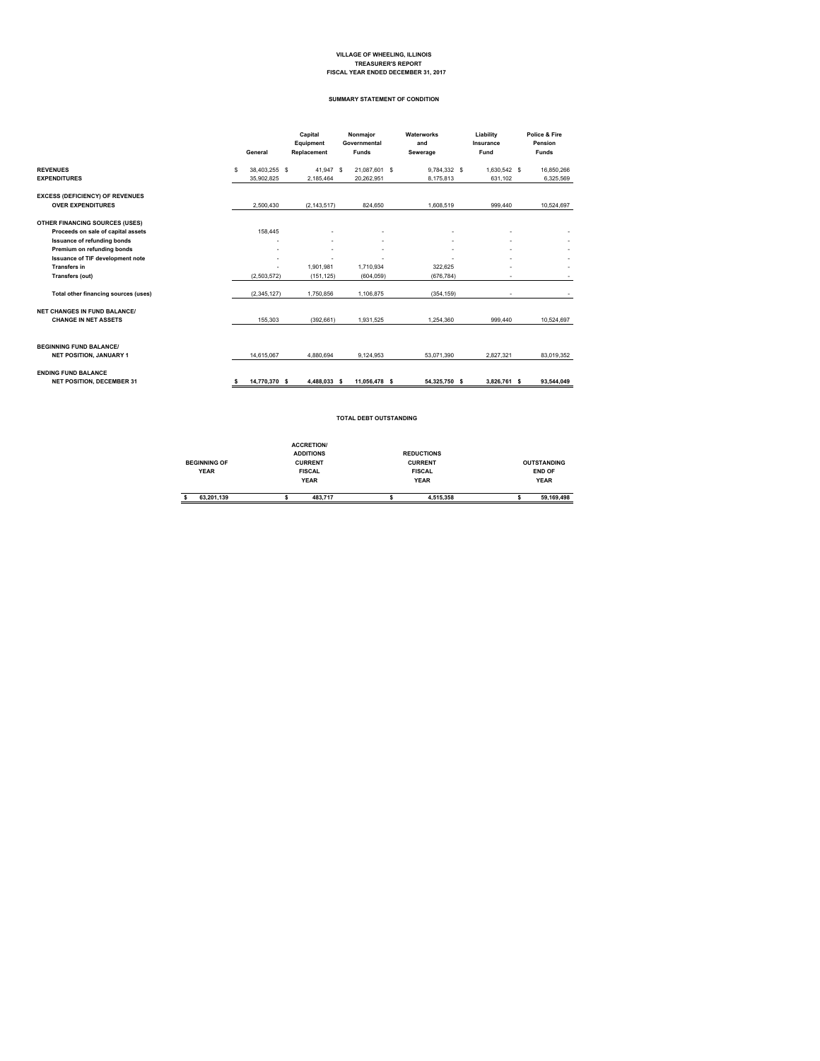## **VILLAGE OF WHEELING, ILLINOIS TREASURER'S REPORT FISCAL YEAR ENDED DECEMBER 31, 2017**

#### **SUMMARY STATEMENT OF CONDITION**

|                                                                    | General |               | Capital<br>Equipment<br>Replacement |           | Nonmajor<br>Governmental<br>Funds | Waterworks<br>and<br>Sewerage | Liability<br>Insurance<br>Fund | Police & Fire<br>Pension<br><b>Funds</b> |
|--------------------------------------------------------------------|---------|---------------|-------------------------------------|-----------|-----------------------------------|-------------------------------|--------------------------------|------------------------------------------|
| <b>REVENUES</b>                                                    | s       | 38.403.255 \$ |                                     | 41.947 \$ | 21.087.601 \$                     | 9.784.332 \$                  | 1.630.542 \$                   | 16.850.266                               |
| <b>EXPENDITURES</b>                                                |         | 35.902.825    | 2.185.464                           |           | 20.262.951                        | 8.175.813                     | 631.102                        | 6,325,569                                |
| <b>EXCESS (DEFICIENCY) OF REVENUES</b><br><b>OVER EXPENDITURES</b> |         | 2.500.430     | (2, 143, 517)                       |           | 824.650                           | 1.608.519                     | 999.440                        | 10,524,697                               |
| OTHER FINANCING SOURCES (USES)                                     |         |               |                                     |           |                                   |                               |                                |                                          |
| Proceeds on sale of capital assets                                 |         | 158,445       |                                     |           |                                   |                               |                                |                                          |
| <b>Issuance of refunding bonds</b>                                 |         | ٠             |                                     | ٠         |                                   |                               | ٠                              |                                          |
| Premium on refunding bonds                                         |         |               |                                     | ٠         |                                   |                               | ٠                              |                                          |
| Issuance of TIF development note<br><b>Transfers in</b>            |         |               | 1.901.981                           | ٠         | 1.710.934                         | 322.625                       |                                |                                          |
| Transfers (out)                                                    |         | (2.503.572)   | (151.125)                           |           | (604, 059)                        | (676.784)                     | ٠                              |                                          |
| Total other financing sources (uses)                               |         | (2,345,127)   | 1.750.856                           |           | 1.106.875                         | (354, 159)                    | ٠                              |                                          |
| <b>NET CHANGES IN FUND BALANCE/</b>                                |         |               |                                     |           |                                   |                               |                                |                                          |
| <b>CHANGE IN NET ASSETS</b>                                        |         | 155,303       | (392.661)                           |           | 1.931.525                         | 1.254.360                     | 999.440                        | 10.524.697                               |
| <b>BEGINNING FUND BALANCE/</b><br>NET POSITION, JANUARY 1          |         | 14.615.067    | 4.880.694                           |           | 9.124.953                         | 53.071.390                    | 2.827.321                      | 83.019.352                               |
| <b>ENDING FUND BALANCE</b><br><b>NET POSITION, DECEMBER 31</b>     |         | 14.770.370 \$ | 4.488.033 \$                        |           | 11,056,478 \$                     | 54,325,750 \$                 | 3,826,761 \$                   | 93,544,049                               |

#### **TOTAL DEBT OUTSTANDING**

|                     | <b>ACCRETION/</b> |                   |                    |
|---------------------|-------------------|-------------------|--------------------|
|                     | <b>ADDITIONS</b>  | <b>REDUCTIONS</b> |                    |
| <b>BEGINNING OF</b> | <b>CURRENT</b>    | <b>CURRENT</b>    | <b>OUTSTANDING</b> |
| <b>YEAR</b>         | <b>FISCAL</b>     | <b>FISCAL</b>     | <b>END OF</b>      |
|                     | <b>YEAR</b>       | <b>YEAR</b>       | <b>YEAR</b>        |
| 63.201.139          | 483.717           | 4.515.358         | 59.169.498         |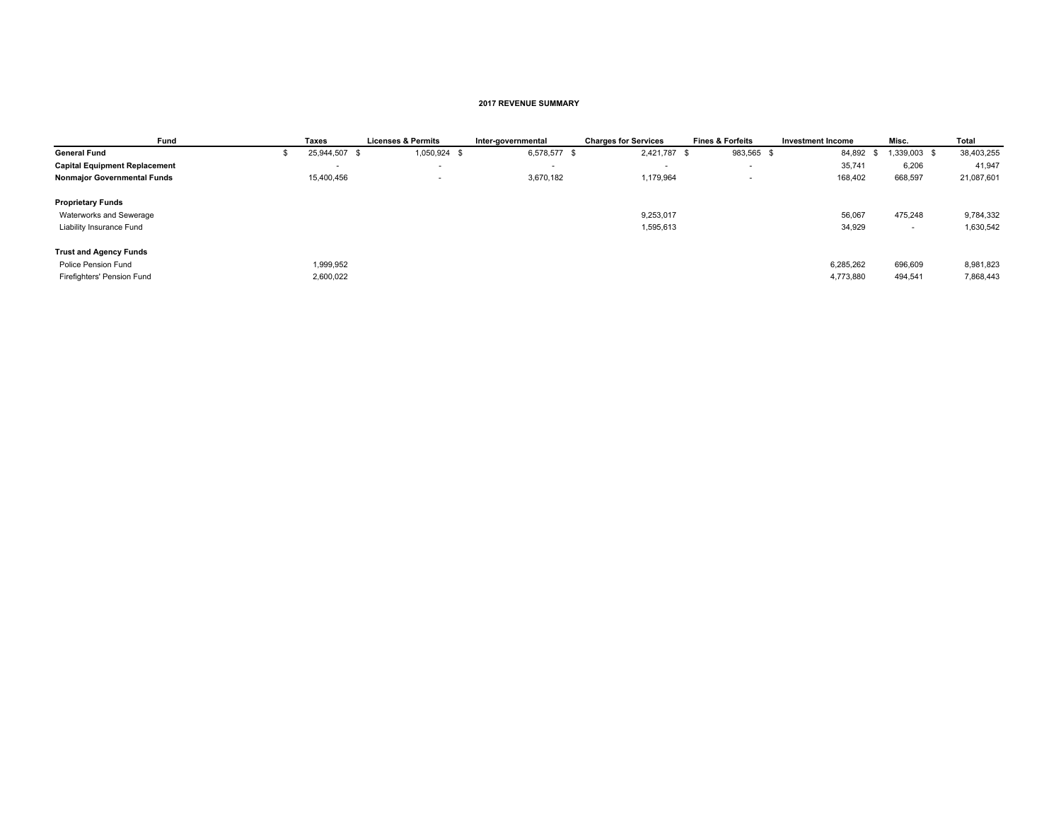#### **2017 REVENUE SUMMARY**

| Fund                                 | <b>Taxes</b>  | <b>Licenses &amp; Permits</b> | Inter-governmental | <b>Charges for Services</b> | <b>Fines &amp; Forfeits</b> | <b>Investment Income</b> | Misc.        | <b>Total</b> |
|--------------------------------------|---------------|-------------------------------|--------------------|-----------------------------|-----------------------------|--------------------------|--------------|--------------|
| <b>General Fund</b>                  | 25,944,507 \$ | 1,050,924 \$                  | 6,578,577 \$       | 2,421,787 \$                | 983,565 \$                  | 84,892<br>- 35           | 1,339,003 \$ | 38,403,255   |
| <b>Capital Equipment Replacement</b> |               | $\overline{\phantom{a}}$      |                    | $\overline{\phantom{a}}$    | . .                         | 35,741                   | 6,206        | 41,947       |
| <b>Nonmajor Governmental Funds</b>   | 15,400,456    | $\overline{\phantom{a}}$      | 3,670,182          | 1,179,964                   |                             | 168,402                  | 668,597      | 21,087,601   |
| <b>Proprietary Funds</b>             |               |                               |                    |                             |                             |                          |              |              |
| Waterworks and Sewerage              |               |                               |                    | 9,253,017                   |                             | 56,067                   | 475,248      | 9,784,332    |
| Liability Insurance Fund             |               |                               |                    | 1,595,613                   |                             | 34,929                   | . .          | 1,630,542    |
| <b>Trust and Agency Funds</b>        |               |                               |                    |                             |                             |                          |              |              |
| Police Pension Fund                  | 1,999,952     |                               |                    |                             |                             | 6,285,262                | 696,609      | 8,981,823    |
| Firefighters' Pension Fund           | 2,600,022     |                               |                    |                             |                             | 4,773,880                | 494,541      | 7,868,443    |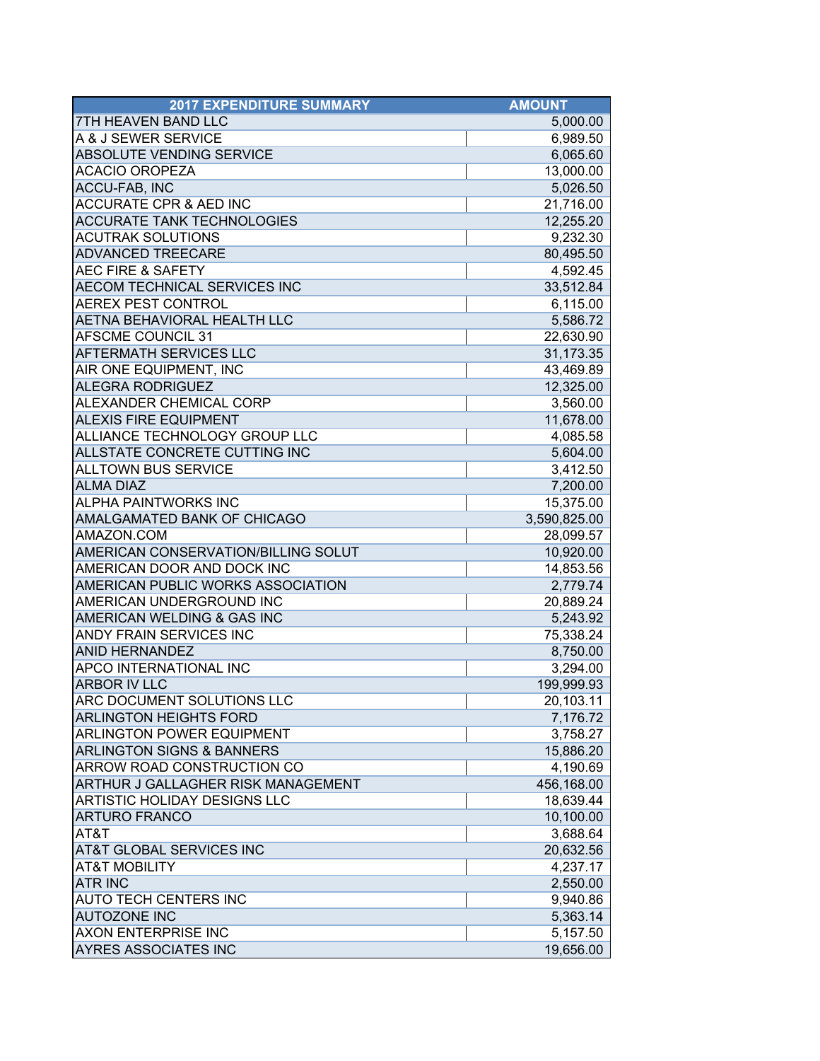| <b>2017 EXPENDITURE SUMMARY</b>           | <b>AMOUNT</b> |
|-------------------------------------------|---------------|
| <b>7TH HEAVEN BAND LLC</b>                | 5,000.00      |
| A & J SEWER SERVICE                       | 6,989.50      |
| <b>ABSOLUTE VENDING SERVICE</b>           | 6,065.60      |
| <b>ACACIO OROPEZA</b>                     | 13,000.00     |
| <b>ACCU-FAB, INC</b>                      | 5,026.50      |
| <b>ACCURATE CPR &amp; AED INC</b>         | 21,716.00     |
| <b>ACCURATE TANK TECHNOLOGIES</b>         | 12,255.20     |
| <b>ACUTRAK SOLUTIONS</b>                  | 9,232.30      |
| <b>ADVANCED TREECARE</b>                  | 80,495.50     |
| <b>AEC FIRE &amp; SAFETY</b>              | 4,592.45      |
| AECOM TECHNICAL SERVICES INC              | 33,512.84     |
| <b>AEREX PEST CONTROL</b>                 | 6,115.00      |
| <b>AETNA BEHAVIORAL HEALTH LLC</b>        | 5,586.72      |
| <b>AFSCME COUNCIL 31</b>                  | 22,630.90     |
| <b>AFTERMATH SERVICES LLC</b>             | 31,173.35     |
| AIR ONE EQUIPMENT, INC                    | 43,469.89     |
| <b>ALEGRA RODRIGUEZ</b>                   | 12,325.00     |
| ALEXANDER CHEMICAL CORP                   | 3,560.00      |
| <b>ALEXIS FIRE EQUIPMENT</b>              | 11,678.00     |
| ALLIANCE TECHNOLOGY GROUP LLC             | 4,085.58      |
| ALLSTATE CONCRETE CUTTING INC             | 5,604.00      |
| <b>ALLTOWN BUS SERVICE</b>                | 3,412.50      |
| <b>ALMA DIAZ</b>                          | 7,200.00      |
| <b>ALPHA PAINTWORKS INC</b>               | 15,375.00     |
| AMALGAMATED BANK OF CHICAGO               | 3,590,825.00  |
| AMAZON.COM                                | 28,099.57     |
| AMERICAN CONSERVATION/BILLING SOLUT       | 10,920.00     |
| AMERICAN DOOR AND DOCK INC                | 14,853.56     |
| AMERICAN PUBLIC WORKS ASSOCIATION         | 2,779.74      |
| AMERICAN UNDERGROUND INC                  | 20,889.24     |
| AMERICAN WELDING & GAS INC                | 5,243.92      |
| ANDY FRAIN SERVICES INC                   | 75,338.24     |
| <b>ANID HERNANDEZ</b>                     | 8,750.00      |
| <b>APCO INTERNATIONAL INC</b>             | 3,294.00      |
| <b>ARBOR IV LLC</b>                       | 199,999.93    |
| IARC DOCUMENT SOLUTIONS LLC               | 20,103.11     |
| <b>ARLINGTON HEIGHTS FORD</b>             | 7,176.72      |
| <b>ARLINGTON POWER EQUIPMENT</b>          | 3,758.27      |
| <b>ARLINGTON SIGNS &amp; BANNERS</b>      | 15,886.20     |
| <b>ARROW ROAD CONSTRUCTION CO</b>         | 4,190.69      |
| <b>ARTHUR J GALLAGHER RISK MANAGEMENT</b> | 456,168.00    |
| <b>ARTISTIC HOLIDAY DESIGNS LLC</b>       | 18,639.44     |
| <b>ARTURO FRANCO</b>                      | 10,100.00     |
| AT&T                                      | 3,688.64      |
| <b>AT&amp;T GLOBAL SERVICES INC</b>       | 20,632.56     |
| <b>AT&amp;T MOBILITY</b>                  | 4,237.17      |
| <b>ATR INC</b>                            | 2,550.00      |
| <b>AUTO TECH CENTERS INC</b>              | 9,940.86      |
| <b>AUTOZONE INC</b>                       | 5,363.14      |
| <b>AXON ENTERPRISE INC</b>                | 5,157.50      |
| <b>AYRES ASSOCIATES INC</b>               | 19,656.00     |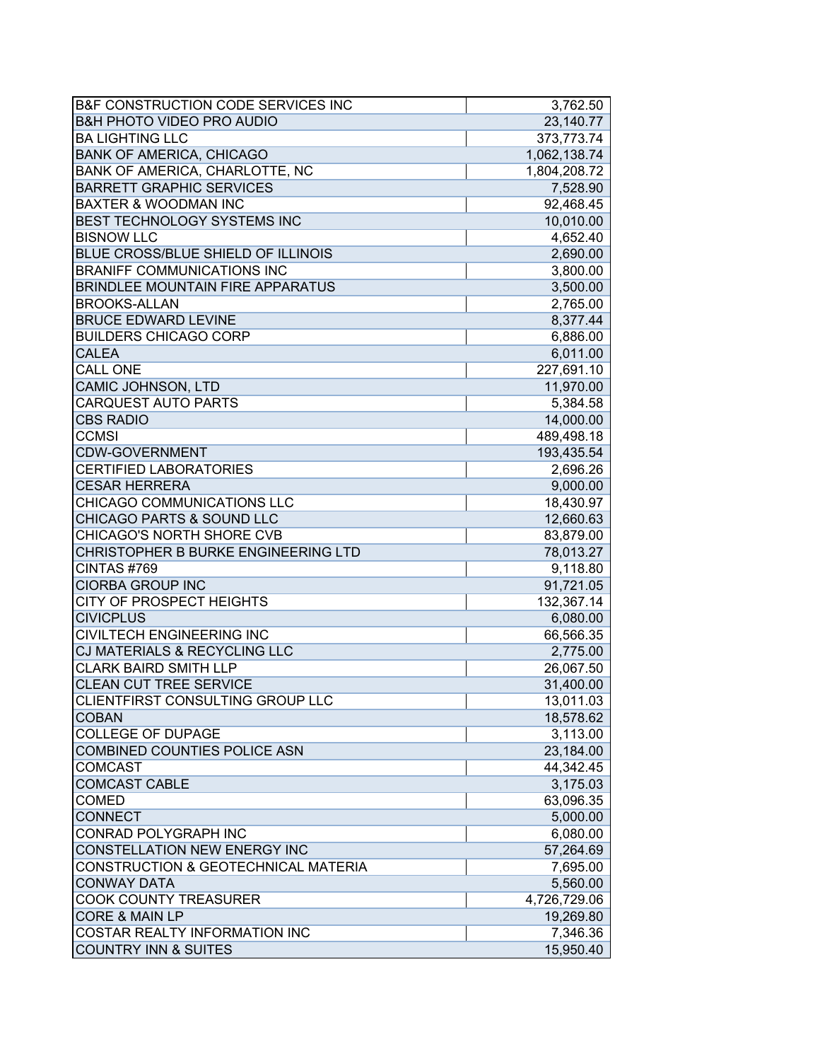| B&F CONSTRUCTION CODE SERVICES INC   | 3,762.50     |
|--------------------------------------|--------------|
| <b>B&amp;H PHOTO VIDEO PRO AUDIO</b> | 23,140.77    |
| <b>BA LIGHTING LLC</b>               | 373,773.74   |
| <b>BANK OF AMERICA, CHICAGO</b>      | 1,062,138.74 |
| BANK OF AMERICA, CHARLOTTE, NC       | 1,804,208.72 |
| <b>BARRETT GRAPHIC SERVICES</b>      | 7,528.90     |
| <b>BAXTER &amp; WOODMAN INC</b>      | 92,468.45    |
| BEST TECHNOLOGY SYSTEMS INC          | 10,010.00    |
| <b>BISNOW LLC</b>                    | 4,652.40     |
| BLUE CROSS/BLUE SHIELD OF ILLINOIS   | 2,690.00     |
| <b>BRANIFF COMMUNICATIONS INC</b>    | 3,800.00     |
| BRINDLEE MOUNTAIN FIRE APPARATUS     | 3,500.00     |
| <b>BROOKS-ALLAN</b>                  | 2,765.00     |
| <b>BRUCE EDWARD LEVINE</b>           | 8,377.44     |
| <b>BUILDERS CHICAGO CORP</b>         | 6,886.00     |
| <b>CALEA</b>                         | 6,011.00     |
| <b>CALL ONE</b>                      | 227,691.10   |
| CAMIC JOHNSON, LTD                   | 11,970.00    |
| <b>CARQUEST AUTO PARTS</b>           | 5,384.58     |
| <b>CBS RADIO</b>                     | 14,000.00    |
| <b>CCMSI</b>                         | 489,498.18   |
| <b>CDW-GOVERNMENT</b>                | 193,435.54   |
| <b>CERTIFIED LABORATORIES</b>        | 2,696.26     |
| <b>CESAR HERRERA</b>                 | 9,000.00     |
| CHICAGO COMMUNICATIONS LLC           | 18,430.97    |
| CHICAGO PARTS & SOUND LLC            | 12,660.63    |
| CHICAGO'S NORTH SHORE CVB            | 83,879.00    |
| CHRISTOPHER B BURKE ENGINEERING LTD  | 78,013.27    |
| CINTAS #769                          | 9,118.80     |
| <b>CIORBA GROUP INC</b>              | 91,721.05    |
| CITY OF PROSPECT HEIGHTS             | 132,367.14   |
| <b>CIVICPLUS</b>                     | 6,080.00     |
| <b>CIVILTECH ENGINEERING INC</b>     | 66,566.35    |
| CJ MATERIALS & RECYCLING LLC         | 2,775.00     |
| <b>CLARK BAIRD SMITH LLP</b>         | 26,067.50    |
| <b>CLEAN CUT TREE SERVICE</b>        | 31,400.00    |
| CLIENTFIRST CONSULTING GROUP LLC     | 13,011.03    |
| <b>COBAN</b>                         | 18,578.62    |
| <b>COLLEGE OF DUPAGE</b>             | 3,113.00     |
| COMBINED COUNTIES POLICE ASN         | 23,184.00    |
| <b>COMCAST</b>                       | 44,342.45    |
| <b>COMCAST CABLE</b>                 | 3,175.03     |
| <b>COMED</b>                         | 63,096.35    |
| <b>CONNECT</b>                       | 5,000.00     |
| CONRAD POLYGRAPH INC                 | 6,080.00     |
| CONSTELLATION NEW ENERGY INC         | 57,264.69    |
| CONSTRUCTION & GEOTECHNICAL MATERIA  | 7,695.00     |
| <b>CONWAY DATA</b>                   | 5,560.00     |
| <b>COOK COUNTY TREASURER</b>         | 4,726,729.06 |
| <b>CORE &amp; MAIN LP</b>            | 19,269.80    |
| COSTAR REALTY INFORMATION INC        | 7,346.36     |
| <b>COUNTRY INN &amp; SUITES</b>      | 15,950.40    |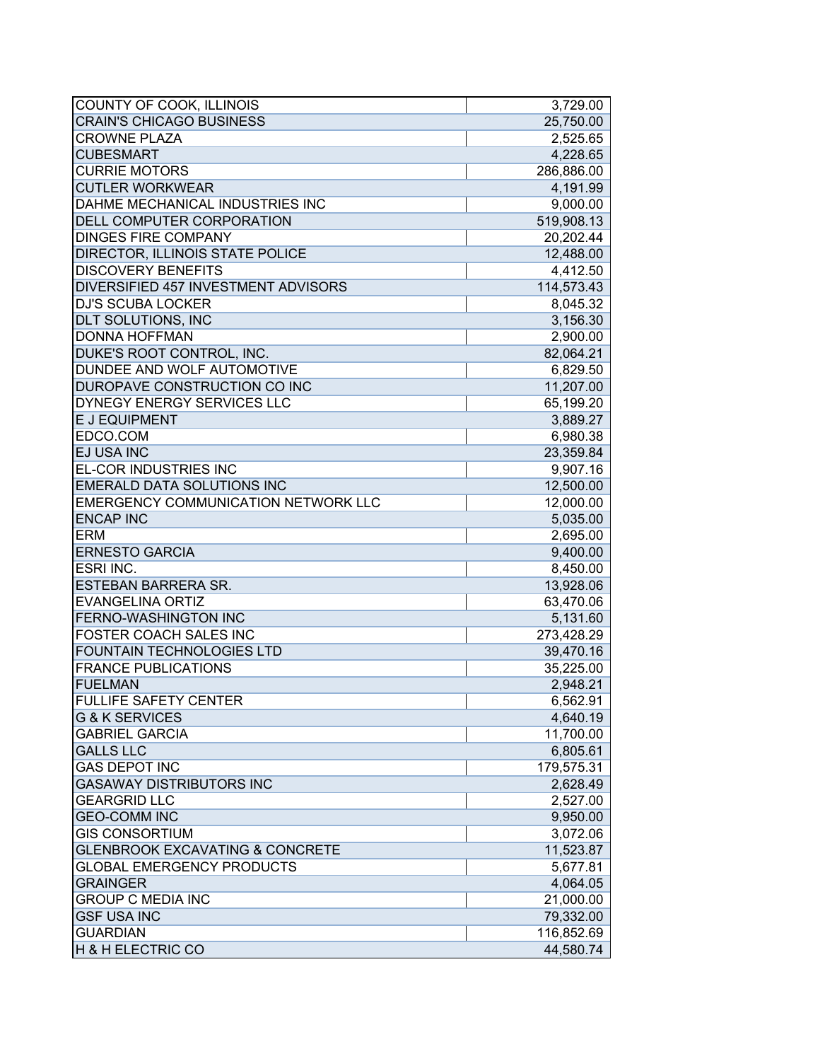| <b>CRAIN'S CHICAGO BUSINESS</b><br>25,750.00<br><b>CROWNE PLAZA</b><br>2,525.65<br><b>CUBESMART</b><br>4,228.65<br><b>CURRIE MOTORS</b><br>286,886.00<br><b>CUTLER WORKWEAR</b><br>4,191.99<br>DAHME MECHANICAL INDUSTRIES INC<br>9,000.00<br>DELL COMPUTER CORPORATION<br>519,908.13<br><b>DINGES FIRE COMPANY</b><br>20,202.44<br>DIRECTOR, ILLINOIS STATE POLICE<br>12,488.00<br><b>DISCOVERY BENEFITS</b><br>4,412.50<br>DIVERSIFIED 457 INVESTMENT ADVISORS<br>114,573.43<br><b>DJ'S SCUBA LOCKER</b><br>8,045.32<br>3,156.30<br>DLT SOLUTIONS, INC<br><b>DONNA HOFFMAN</b><br>2,900.00<br>DUKE'S ROOT CONTROL, INC.<br>82,064.21<br>DUNDEE AND WOLF AUTOMOTIVE<br>6,829.50<br>DUROPAVE CONSTRUCTION CO INC<br>11,207.00<br>DYNEGY ENERGY SERVICES LLC<br>65,199.20<br>E J EQUIPMENT<br>3,889.27<br>EDCO.COM<br>6,980.38<br>EJ USA INC<br>23,359.84<br>EL-COR INDUSTRIES INC<br>9,907.16<br><b>EMERALD DATA SOLUTIONS INC</b><br>12,500.00<br><b>EMERGENCY COMMUNICATION NETWORK LLC</b><br>12,000.00<br><b>ENCAP INC</b><br>5,035.00<br><b>ERM</b><br>2,695.00<br><b>ERNESTO GARCIA</b><br>9,400.00<br>ESRI INC.<br>8,450.00<br><b>ESTEBAN BARRERA SR.</b><br>13,928.06<br><b>EVANGELINA ORTIZ</b><br>63,470.06<br><b>FERNO-WASHINGTON INC</b><br>5,131.60<br>FOSTER COACH SALES INC<br>273,428.29<br><b>FOUNTAIN TECHNOLOGIES LTD</b><br>39,470.16<br><b>FRANCE PUBLICATIONS</b><br>35,225.00<br><b>FUELMAN</b><br>2,948.21<br><b>FULLIFE SAFETY CENTER</b><br>6,562.91<br><b>G &amp; K SERVICES</b><br>4,640.19<br><b>GABRIEL GARCIA</b><br>11,700.00<br><b>GALLS LLC</b><br>6,805.61<br><b>GAS DEPOT INC</b><br>179,575.31<br><b>GASAWAY DISTRIBUTORS INC</b><br>2,628.49<br><b>GEARGRID LLC</b><br>2,527.00<br><b>GEO-COMM INC</b><br>9,950.00<br><b>GIS CONSORTIUM</b><br>3,072.06<br><b>GLENBROOK EXCAVATING &amp; CONCRETE</b><br>11,523.87<br><b>GLOBAL EMERGENCY PRODUCTS</b><br>5,677.81<br><b>GRAINGER</b><br>4,064.05<br>21,000.00<br><b>GROUP C MEDIA INC</b><br><b>GSF USA INC</b><br>79,332.00<br><b>GUARDIAN</b><br>116,852.69<br>H & H ELECTRIC CO<br>44,580.74 | COUNTY OF COOK, ILLINOIS | 3,729.00 |
|----------------------------------------------------------------------------------------------------------------------------------------------------------------------------------------------------------------------------------------------------------------------------------------------------------------------------------------------------------------------------------------------------------------------------------------------------------------------------------------------------------------------------------------------------------------------------------------------------------------------------------------------------------------------------------------------------------------------------------------------------------------------------------------------------------------------------------------------------------------------------------------------------------------------------------------------------------------------------------------------------------------------------------------------------------------------------------------------------------------------------------------------------------------------------------------------------------------------------------------------------------------------------------------------------------------------------------------------------------------------------------------------------------------------------------------------------------------------------------------------------------------------------------------------------------------------------------------------------------------------------------------------------------------------------------------------------------------------------------------------------------------------------------------------------------------------------------------------------------------------------------------------------------------------------------------------------------------------------------------------------------------------------------------------------------------------------------------|--------------------------|----------|
|                                                                                                                                                                                                                                                                                                                                                                                                                                                                                                                                                                                                                                                                                                                                                                                                                                                                                                                                                                                                                                                                                                                                                                                                                                                                                                                                                                                                                                                                                                                                                                                                                                                                                                                                                                                                                                                                                                                                                                                                                                                                                        |                          |          |
|                                                                                                                                                                                                                                                                                                                                                                                                                                                                                                                                                                                                                                                                                                                                                                                                                                                                                                                                                                                                                                                                                                                                                                                                                                                                                                                                                                                                                                                                                                                                                                                                                                                                                                                                                                                                                                                                                                                                                                                                                                                                                        |                          |          |
|                                                                                                                                                                                                                                                                                                                                                                                                                                                                                                                                                                                                                                                                                                                                                                                                                                                                                                                                                                                                                                                                                                                                                                                                                                                                                                                                                                                                                                                                                                                                                                                                                                                                                                                                                                                                                                                                                                                                                                                                                                                                                        |                          |          |
|                                                                                                                                                                                                                                                                                                                                                                                                                                                                                                                                                                                                                                                                                                                                                                                                                                                                                                                                                                                                                                                                                                                                                                                                                                                                                                                                                                                                                                                                                                                                                                                                                                                                                                                                                                                                                                                                                                                                                                                                                                                                                        |                          |          |
|                                                                                                                                                                                                                                                                                                                                                                                                                                                                                                                                                                                                                                                                                                                                                                                                                                                                                                                                                                                                                                                                                                                                                                                                                                                                                                                                                                                                                                                                                                                                                                                                                                                                                                                                                                                                                                                                                                                                                                                                                                                                                        |                          |          |
|                                                                                                                                                                                                                                                                                                                                                                                                                                                                                                                                                                                                                                                                                                                                                                                                                                                                                                                                                                                                                                                                                                                                                                                                                                                                                                                                                                                                                                                                                                                                                                                                                                                                                                                                                                                                                                                                                                                                                                                                                                                                                        |                          |          |
|                                                                                                                                                                                                                                                                                                                                                                                                                                                                                                                                                                                                                                                                                                                                                                                                                                                                                                                                                                                                                                                                                                                                                                                                                                                                                                                                                                                                                                                                                                                                                                                                                                                                                                                                                                                                                                                                                                                                                                                                                                                                                        |                          |          |
|                                                                                                                                                                                                                                                                                                                                                                                                                                                                                                                                                                                                                                                                                                                                                                                                                                                                                                                                                                                                                                                                                                                                                                                                                                                                                                                                                                                                                                                                                                                                                                                                                                                                                                                                                                                                                                                                                                                                                                                                                                                                                        |                          |          |
|                                                                                                                                                                                                                                                                                                                                                                                                                                                                                                                                                                                                                                                                                                                                                                                                                                                                                                                                                                                                                                                                                                                                                                                                                                                                                                                                                                                                                                                                                                                                                                                                                                                                                                                                                                                                                                                                                                                                                                                                                                                                                        |                          |          |
|                                                                                                                                                                                                                                                                                                                                                                                                                                                                                                                                                                                                                                                                                                                                                                                                                                                                                                                                                                                                                                                                                                                                                                                                                                                                                                                                                                                                                                                                                                                                                                                                                                                                                                                                                                                                                                                                                                                                                                                                                                                                                        |                          |          |
|                                                                                                                                                                                                                                                                                                                                                                                                                                                                                                                                                                                                                                                                                                                                                                                                                                                                                                                                                                                                                                                                                                                                                                                                                                                                                                                                                                                                                                                                                                                                                                                                                                                                                                                                                                                                                                                                                                                                                                                                                                                                                        |                          |          |
|                                                                                                                                                                                                                                                                                                                                                                                                                                                                                                                                                                                                                                                                                                                                                                                                                                                                                                                                                                                                                                                                                                                                                                                                                                                                                                                                                                                                                                                                                                                                                                                                                                                                                                                                                                                                                                                                                                                                                                                                                                                                                        |                          |          |
|                                                                                                                                                                                                                                                                                                                                                                                                                                                                                                                                                                                                                                                                                                                                                                                                                                                                                                                                                                                                                                                                                                                                                                                                                                                                                                                                                                                                                                                                                                                                                                                                                                                                                                                                                                                                                                                                                                                                                                                                                                                                                        |                          |          |
|                                                                                                                                                                                                                                                                                                                                                                                                                                                                                                                                                                                                                                                                                                                                                                                                                                                                                                                                                                                                                                                                                                                                                                                                                                                                                                                                                                                                                                                                                                                                                                                                                                                                                                                                                                                                                                                                                                                                                                                                                                                                                        |                          |          |
|                                                                                                                                                                                                                                                                                                                                                                                                                                                                                                                                                                                                                                                                                                                                                                                                                                                                                                                                                                                                                                                                                                                                                                                                                                                                                                                                                                                                                                                                                                                                                                                                                                                                                                                                                                                                                                                                                                                                                                                                                                                                                        |                          |          |
|                                                                                                                                                                                                                                                                                                                                                                                                                                                                                                                                                                                                                                                                                                                                                                                                                                                                                                                                                                                                                                                                                                                                                                                                                                                                                                                                                                                                                                                                                                                                                                                                                                                                                                                                                                                                                                                                                                                                                                                                                                                                                        |                          |          |
|                                                                                                                                                                                                                                                                                                                                                                                                                                                                                                                                                                                                                                                                                                                                                                                                                                                                                                                                                                                                                                                                                                                                                                                                                                                                                                                                                                                                                                                                                                                                                                                                                                                                                                                                                                                                                                                                                                                                                                                                                                                                                        |                          |          |
|                                                                                                                                                                                                                                                                                                                                                                                                                                                                                                                                                                                                                                                                                                                                                                                                                                                                                                                                                                                                                                                                                                                                                                                                                                                                                                                                                                                                                                                                                                                                                                                                                                                                                                                                                                                                                                                                                                                                                                                                                                                                                        |                          |          |
|                                                                                                                                                                                                                                                                                                                                                                                                                                                                                                                                                                                                                                                                                                                                                                                                                                                                                                                                                                                                                                                                                                                                                                                                                                                                                                                                                                                                                                                                                                                                                                                                                                                                                                                                                                                                                                                                                                                                                                                                                                                                                        |                          |          |
|                                                                                                                                                                                                                                                                                                                                                                                                                                                                                                                                                                                                                                                                                                                                                                                                                                                                                                                                                                                                                                                                                                                                                                                                                                                                                                                                                                                                                                                                                                                                                                                                                                                                                                                                                                                                                                                                                                                                                                                                                                                                                        |                          |          |
|                                                                                                                                                                                                                                                                                                                                                                                                                                                                                                                                                                                                                                                                                                                                                                                                                                                                                                                                                                                                                                                                                                                                                                                                                                                                                                                                                                                                                                                                                                                                                                                                                                                                                                                                                                                                                                                                                                                                                                                                                                                                                        |                          |          |
|                                                                                                                                                                                                                                                                                                                                                                                                                                                                                                                                                                                                                                                                                                                                                                                                                                                                                                                                                                                                                                                                                                                                                                                                                                                                                                                                                                                                                                                                                                                                                                                                                                                                                                                                                                                                                                                                                                                                                                                                                                                                                        |                          |          |
|                                                                                                                                                                                                                                                                                                                                                                                                                                                                                                                                                                                                                                                                                                                                                                                                                                                                                                                                                                                                                                                                                                                                                                                                                                                                                                                                                                                                                                                                                                                                                                                                                                                                                                                                                                                                                                                                                                                                                                                                                                                                                        |                          |          |
|                                                                                                                                                                                                                                                                                                                                                                                                                                                                                                                                                                                                                                                                                                                                                                                                                                                                                                                                                                                                                                                                                                                                                                                                                                                                                                                                                                                                                                                                                                                                                                                                                                                                                                                                                                                                                                                                                                                                                                                                                                                                                        |                          |          |
|                                                                                                                                                                                                                                                                                                                                                                                                                                                                                                                                                                                                                                                                                                                                                                                                                                                                                                                                                                                                                                                                                                                                                                                                                                                                                                                                                                                                                                                                                                                                                                                                                                                                                                                                                                                                                                                                                                                                                                                                                                                                                        |                          |          |
|                                                                                                                                                                                                                                                                                                                                                                                                                                                                                                                                                                                                                                                                                                                                                                                                                                                                                                                                                                                                                                                                                                                                                                                                                                                                                                                                                                                                                                                                                                                                                                                                                                                                                                                                                                                                                                                                                                                                                                                                                                                                                        |                          |          |
|                                                                                                                                                                                                                                                                                                                                                                                                                                                                                                                                                                                                                                                                                                                                                                                                                                                                                                                                                                                                                                                                                                                                                                                                                                                                                                                                                                                                                                                                                                                                                                                                                                                                                                                                                                                                                                                                                                                                                                                                                                                                                        |                          |          |
|                                                                                                                                                                                                                                                                                                                                                                                                                                                                                                                                                                                                                                                                                                                                                                                                                                                                                                                                                                                                                                                                                                                                                                                                                                                                                                                                                                                                                                                                                                                                                                                                                                                                                                                                                                                                                                                                                                                                                                                                                                                                                        |                          |          |
|                                                                                                                                                                                                                                                                                                                                                                                                                                                                                                                                                                                                                                                                                                                                                                                                                                                                                                                                                                                                                                                                                                                                                                                                                                                                                                                                                                                                                                                                                                                                                                                                                                                                                                                                                                                                                                                                                                                                                                                                                                                                                        |                          |          |
|                                                                                                                                                                                                                                                                                                                                                                                                                                                                                                                                                                                                                                                                                                                                                                                                                                                                                                                                                                                                                                                                                                                                                                                                                                                                                                                                                                                                                                                                                                                                                                                                                                                                                                                                                                                                                                                                                                                                                                                                                                                                                        |                          |          |
|                                                                                                                                                                                                                                                                                                                                                                                                                                                                                                                                                                                                                                                                                                                                                                                                                                                                                                                                                                                                                                                                                                                                                                                                                                                                                                                                                                                                                                                                                                                                                                                                                                                                                                                                                                                                                                                                                                                                                                                                                                                                                        |                          |          |
|                                                                                                                                                                                                                                                                                                                                                                                                                                                                                                                                                                                                                                                                                                                                                                                                                                                                                                                                                                                                                                                                                                                                                                                                                                                                                                                                                                                                                                                                                                                                                                                                                                                                                                                                                                                                                                                                                                                                                                                                                                                                                        |                          |          |
|                                                                                                                                                                                                                                                                                                                                                                                                                                                                                                                                                                                                                                                                                                                                                                                                                                                                                                                                                                                                                                                                                                                                                                                                                                                                                                                                                                                                                                                                                                                                                                                                                                                                                                                                                                                                                                                                                                                                                                                                                                                                                        |                          |          |
|                                                                                                                                                                                                                                                                                                                                                                                                                                                                                                                                                                                                                                                                                                                                                                                                                                                                                                                                                                                                                                                                                                                                                                                                                                                                                                                                                                                                                                                                                                                                                                                                                                                                                                                                                                                                                                                                                                                                                                                                                                                                                        |                          |          |
|                                                                                                                                                                                                                                                                                                                                                                                                                                                                                                                                                                                                                                                                                                                                                                                                                                                                                                                                                                                                                                                                                                                                                                                                                                                                                                                                                                                                                                                                                                                                                                                                                                                                                                                                                                                                                                                                                                                                                                                                                                                                                        |                          |          |
|                                                                                                                                                                                                                                                                                                                                                                                                                                                                                                                                                                                                                                                                                                                                                                                                                                                                                                                                                                                                                                                                                                                                                                                                                                                                                                                                                                                                                                                                                                                                                                                                                                                                                                                                                                                                                                                                                                                                                                                                                                                                                        |                          |          |
|                                                                                                                                                                                                                                                                                                                                                                                                                                                                                                                                                                                                                                                                                                                                                                                                                                                                                                                                                                                                                                                                                                                                                                                                                                                                                                                                                                                                                                                                                                                                                                                                                                                                                                                                                                                                                                                                                                                                                                                                                                                                                        |                          |          |
|                                                                                                                                                                                                                                                                                                                                                                                                                                                                                                                                                                                                                                                                                                                                                                                                                                                                                                                                                                                                                                                                                                                                                                                                                                                                                                                                                                                                                                                                                                                                                                                                                                                                                                                                                                                                                                                                                                                                                                                                                                                                                        |                          |          |
|                                                                                                                                                                                                                                                                                                                                                                                                                                                                                                                                                                                                                                                                                                                                                                                                                                                                                                                                                                                                                                                                                                                                                                                                                                                                                                                                                                                                                                                                                                                                                                                                                                                                                                                                                                                                                                                                                                                                                                                                                                                                                        |                          |          |
|                                                                                                                                                                                                                                                                                                                                                                                                                                                                                                                                                                                                                                                                                                                                                                                                                                                                                                                                                                                                                                                                                                                                                                                                                                                                                                                                                                                                                                                                                                                                                                                                                                                                                                                                                                                                                                                                                                                                                                                                                                                                                        |                          |          |
|                                                                                                                                                                                                                                                                                                                                                                                                                                                                                                                                                                                                                                                                                                                                                                                                                                                                                                                                                                                                                                                                                                                                                                                                                                                                                                                                                                                                                                                                                                                                                                                                                                                                                                                                                                                                                                                                                                                                                                                                                                                                                        |                          |          |
|                                                                                                                                                                                                                                                                                                                                                                                                                                                                                                                                                                                                                                                                                                                                                                                                                                                                                                                                                                                                                                                                                                                                                                                                                                                                                                                                                                                                                                                                                                                                                                                                                                                                                                                                                                                                                                                                                                                                                                                                                                                                                        |                          |          |
|                                                                                                                                                                                                                                                                                                                                                                                                                                                                                                                                                                                                                                                                                                                                                                                                                                                                                                                                                                                                                                                                                                                                                                                                                                                                                                                                                                                                                                                                                                                                                                                                                                                                                                                                                                                                                                                                                                                                                                                                                                                                                        |                          |          |
|                                                                                                                                                                                                                                                                                                                                                                                                                                                                                                                                                                                                                                                                                                                                                                                                                                                                                                                                                                                                                                                                                                                                                                                                                                                                                                                                                                                                                                                                                                                                                                                                                                                                                                                                                                                                                                                                                                                                                                                                                                                                                        |                          |          |
|                                                                                                                                                                                                                                                                                                                                                                                                                                                                                                                                                                                                                                                                                                                                                                                                                                                                                                                                                                                                                                                                                                                                                                                                                                                                                                                                                                                                                                                                                                                                                                                                                                                                                                                                                                                                                                                                                                                                                                                                                                                                                        |                          |          |
|                                                                                                                                                                                                                                                                                                                                                                                                                                                                                                                                                                                                                                                                                                                                                                                                                                                                                                                                                                                                                                                                                                                                                                                                                                                                                                                                                                                                                                                                                                                                                                                                                                                                                                                                                                                                                                                                                                                                                                                                                                                                                        |                          |          |
|                                                                                                                                                                                                                                                                                                                                                                                                                                                                                                                                                                                                                                                                                                                                                                                                                                                                                                                                                                                                                                                                                                                                                                                                                                                                                                                                                                                                                                                                                                                                                                                                                                                                                                                                                                                                                                                                                                                                                                                                                                                                                        |                          |          |
|                                                                                                                                                                                                                                                                                                                                                                                                                                                                                                                                                                                                                                                                                                                                                                                                                                                                                                                                                                                                                                                                                                                                                                                                                                                                                                                                                                                                                                                                                                                                                                                                                                                                                                                                                                                                                                                                                                                                                                                                                                                                                        |                          |          |
|                                                                                                                                                                                                                                                                                                                                                                                                                                                                                                                                                                                                                                                                                                                                                                                                                                                                                                                                                                                                                                                                                                                                                                                                                                                                                                                                                                                                                                                                                                                                                                                                                                                                                                                                                                                                                                                                                                                                                                                                                                                                                        |                          |          |
|                                                                                                                                                                                                                                                                                                                                                                                                                                                                                                                                                                                                                                                                                                                                                                                                                                                                                                                                                                                                                                                                                                                                                                                                                                                                                                                                                                                                                                                                                                                                                                                                                                                                                                                                                                                                                                                                                                                                                                                                                                                                                        |                          |          |
|                                                                                                                                                                                                                                                                                                                                                                                                                                                                                                                                                                                                                                                                                                                                                                                                                                                                                                                                                                                                                                                                                                                                                                                                                                                                                                                                                                                                                                                                                                                                                                                                                                                                                                                                                                                                                                                                                                                                                                                                                                                                                        |                          |          |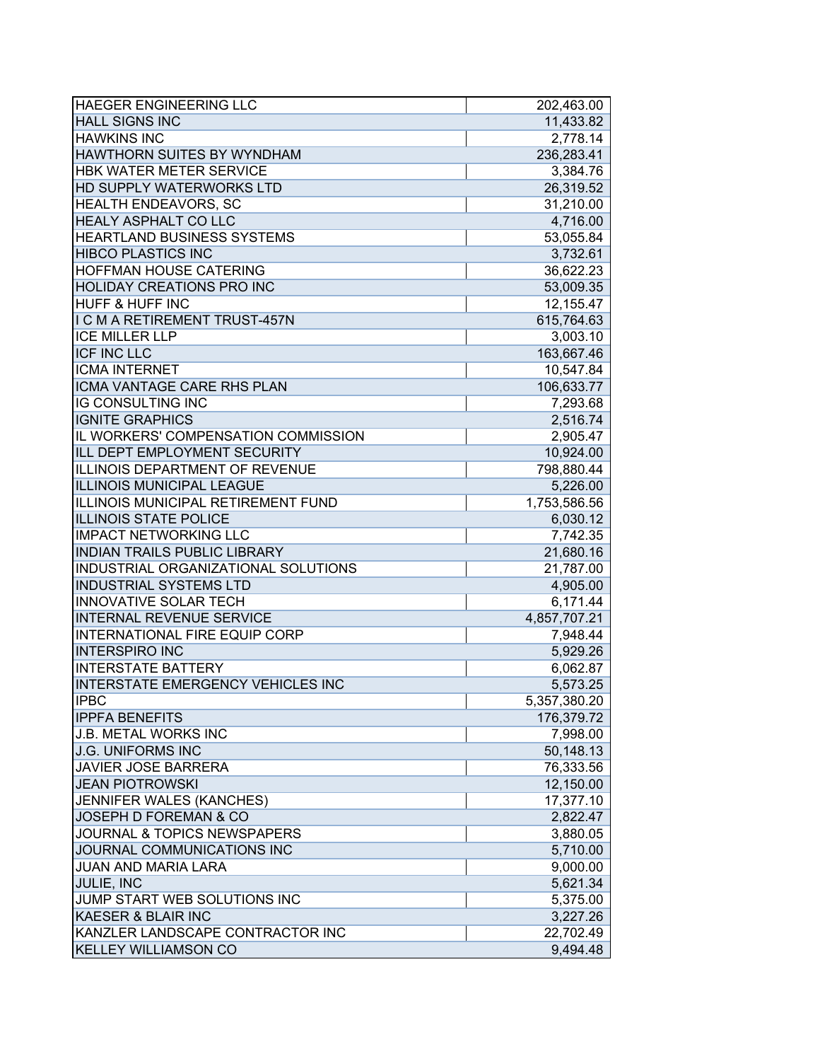| <b>HAEGER ENGINEERING LLC</b>            | 202,463.00   |
|------------------------------------------|--------------|
| <b>HALL SIGNS INC</b>                    | 11,433.82    |
| <b>HAWKINS INC</b>                       | 2,778.14     |
| <b>HAWTHORN SUITES BY WYNDHAM</b>        | 236,283.41   |
| <b>HBK WATER METER SERVICE</b>           | 3,384.76     |
| <b>HD SUPPLY WATERWORKS LTD</b>          | 26,319.52    |
| <b>HEALTH ENDEAVORS, SC</b>              | 31,210.00    |
| <b>HEALY ASPHALT CO LLC</b>              | 4,716.00     |
| <b>HEARTLAND BUSINESS SYSTEMS</b>        | 53,055.84    |
| <b>HIBCO PLASTICS INC</b>                | 3,732.61     |
| <b>HOFFMAN HOUSE CATERING</b>            | 36,622.23    |
| <b>HOLIDAY CREATIONS PRO INC</b>         | 53,009.35    |
| <b>HUFF &amp; HUFF INC</b>               | 12,155.47    |
| I C M A RETIREMENT TRUST-457N            | 615,764.63   |
| <b>ICE MILLER LLP</b>                    | 3,003.10     |
| <b>ICF INC LLC</b>                       | 163,667.46   |
| <b>ICMA INTERNET</b>                     | 10,547.84    |
| <b>ICMA VANTAGE CARE RHS PLAN</b>        | 106,633.77   |
| <b>IG CONSULTING INC</b>                 | 7,293.68     |
| <b>IGNITE GRAPHICS</b>                   | 2,516.74     |
| IL WORKERS' COMPENSATION COMMISSION      | 2,905.47     |
| ILL DEPT EMPLOYMENT SECURITY             | 10,924.00    |
| ILLINOIS DEPARTMENT OF REVENUE           | 798,880.44   |
| ILLINOIS MUNICIPAL LEAGUE                | 5,226.00     |
| ILLINOIS MUNICIPAL RETIREMENT FUND       | 1,753,586.56 |
| <b>ILLINOIS STATE POLICE</b>             | 6,030.12     |
| <b>IMPACT NETWORKING LLC</b>             | 7,742.35     |
| <b>INDIAN TRAILS PUBLIC LIBRARY</b>      | 21,680.16    |
| INDUSTRIAL ORGANIZATIONAL SOLUTIONS      | 21,787.00    |
| <b>INDUSTRIAL SYSTEMS LTD</b>            | 4,905.00     |
| <b>INNOVATIVE SOLAR TECH</b>             | 6,171.44     |
| <b>INTERNAL REVENUE SERVICE</b>          | 4,857,707.21 |
| INTERNATIONAL FIRE EQUIP CORP            | 7,948.44     |
| <b>INTERSPIRO INC</b>                    | 5,929.26     |
| <b>INTERSTATE BATTERY</b>                | 6,062.87     |
| <b>INTERSTATE EMERGENCY VEHICLES INC</b> | 5,573.25     |
| IIPBC                                    | 5,357,380.20 |
| <b>IPPFA BENEFITS</b>                    | 176,379.72   |
| <b>J.B. METAL WORKS INC</b>              | 7,998.00     |
| <b>J.G. UNIFORMS INC</b>                 | 50,148.13    |
| <b>JAVIER JOSE BARRERA</b>               | 76,333.56    |
| <b>JEAN PIOTROWSKI</b>                   | 12,150.00    |
| JENNIFER WALES (KANCHES)                 | 17,377.10    |
| JOSEPH D FOREMAN & CO                    | 2,822.47     |
| <b>JOURNAL &amp; TOPICS NEWSPAPERS</b>   | 3,880.05     |
| JOURNAL COMMUNICATIONS INC               | 5,710.00     |
| <b>JUAN AND MARIA LARA</b>               | 9,000.00     |
| JULIE, INC                               | 5,621.34     |
| JUMP START WEB SOLUTIONS INC             | 5,375.00     |
| <b>KAESER &amp; BLAIR INC</b>            | 3,227.26     |
| KANZLER LANDSCAPE CONTRACTOR INC         | 22,702.49    |
| <b>KELLEY WILLIAMSON CO</b>              | 9,494.48     |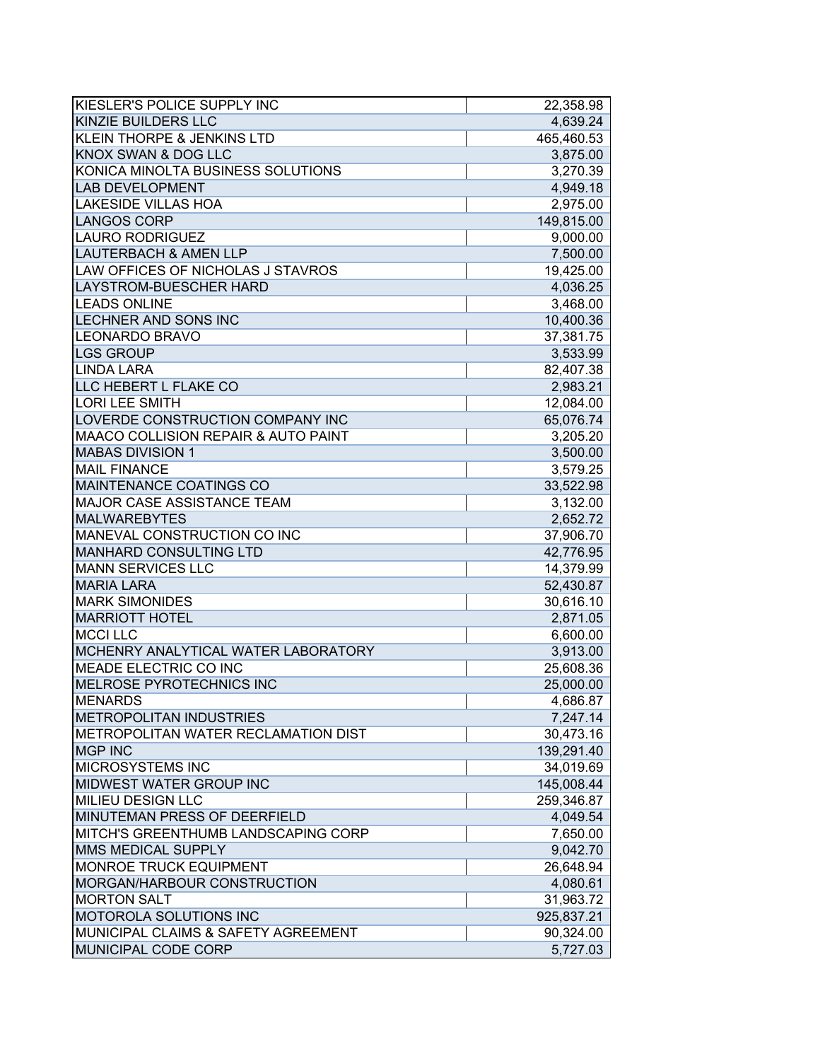| <b>KIESLER'S POLICE SUPPLY INC</b>                           | 22,358.98  |
|--------------------------------------------------------------|------------|
| <b>KINZIE BUILDERS LLC</b>                                   | 4,639.24   |
| <b>KLEIN THORPE &amp; JENKINS LTD</b>                        | 465,460.53 |
| <b>KNOX SWAN &amp; DOG LLC</b>                               | 3,875.00   |
| KONICA MINOLTA BUSINESS SOLUTIONS                            | 3,270.39   |
| <b>LAB DEVELOPMENT</b>                                       | 4,949.18   |
| <b>LAKESIDE VILLAS HOA</b>                                   | 2,975.00   |
| <b>LANGOS CORP</b>                                           | 149,815.00 |
| <b>LAURO RODRIGUEZ</b>                                       | 9,000.00   |
| <b>LAUTERBACH &amp; AMEN LLP</b>                             | 7,500.00   |
| LAW OFFICES OF NICHOLAS J STAVROS                            | 19,425.00  |
| <b>LAYSTROM-BUESCHER HARD</b>                                | 4,036.25   |
| <b>LEADS ONLINE</b>                                          | 3,468.00   |
| <b>LECHNER AND SONS INC</b>                                  | 10,400.36  |
| LEONARDO BRAVO                                               | 37,381.75  |
| <b>LGS GROUP</b>                                             | 3,533.99   |
| <b>LINDA LARA</b>                                            | 82,407.38  |
| LLC HEBERT L FLAKE CO                                        | 2,983.21   |
| <b>LORI LEE SMITH</b>                                        | 12,084.00  |
| LOVERDE CONSTRUCTION COMPANY INC                             | 65,076.74  |
| <b>MAACO COLLISION REPAIR &amp; AUTO PAINT</b>               | 3,205.20   |
| <b>MABAS DIVISION 1</b>                                      | 3,500.00   |
| <b>MAIL FINANCE</b>                                          | 3,579.25   |
| MAINTENANCE COATINGS CO                                      | 33,522.98  |
| <b>MAJOR CASE ASSISTANCE TEAM</b>                            | 3,132.00   |
| <b>MALWAREBYTES</b>                                          | 2,652.72   |
| MANEVAL CONSTRUCTION CO INC                                  | 37,906.70  |
| <b>MANHARD CONSULTING LTD</b>                                | 42,776.95  |
| <b>MANN SERVICES LLC</b>                                     | 14,379.99  |
| <b>MARIA LARA</b>                                            | 52,430.87  |
| <b>MARK SIMONIDES</b>                                        | 30,616.10  |
| <b>MARRIOTT HOTEL</b>                                        | 2,871.05   |
| <b>MCCI LLC</b>                                              | 6,600.00   |
| MCHENRY ANALYTICAL WATER LABORATORY                          | 3,913.00   |
| <b>MEADE ELECTRIC CO INC</b>                                 | 25,608.36  |
| <b>MELROSE PYROTECHNICS INC</b>                              | 25,000.00  |
| IMENARDS                                                     | 4,686.87   |
| <b>METROPOLITAN INDUSTRIES</b>                               | 7,247.14   |
| <b>IMETROPOLITAN WATER RECLAMATION DIST</b>                  | 30,473.16  |
| <b>MGP INC</b>                                               | 139,291.40 |
| <b>MICROSYSTEMS INC</b>                                      | 34,019.69  |
| <b>MIDWEST WATER GROUP INC</b>                               | 145,008.44 |
| <b>MILIEU DESIGN LLC</b>                                     | 259,346.87 |
| MINUTEMAN PRESS OF DEERFIELD                                 | 4,049.54   |
| MITCH'S GREENTHUMB LANDSCAPING CORP                          | 7,650.00   |
| MMS MEDICAL SUPPLY                                           | 9,042.70   |
|                                                              |            |
| <b>MONROE TRUCK EQUIPMENT</b><br>MORGAN/HARBOUR CONSTRUCTION | 26,648.94  |
|                                                              | 4,080.61   |
| <b>MORTON SALT</b>                                           | 31,963.72  |
| <b>MOTOROLA SOLUTIONS INC</b>                                | 925,837.21 |
| MUNICIPAL CLAIMS & SAFETY AGREEMENT                          | 90,324.00  |
| <b>MUNICIPAL CODE CORP</b>                                   | 5,727.03   |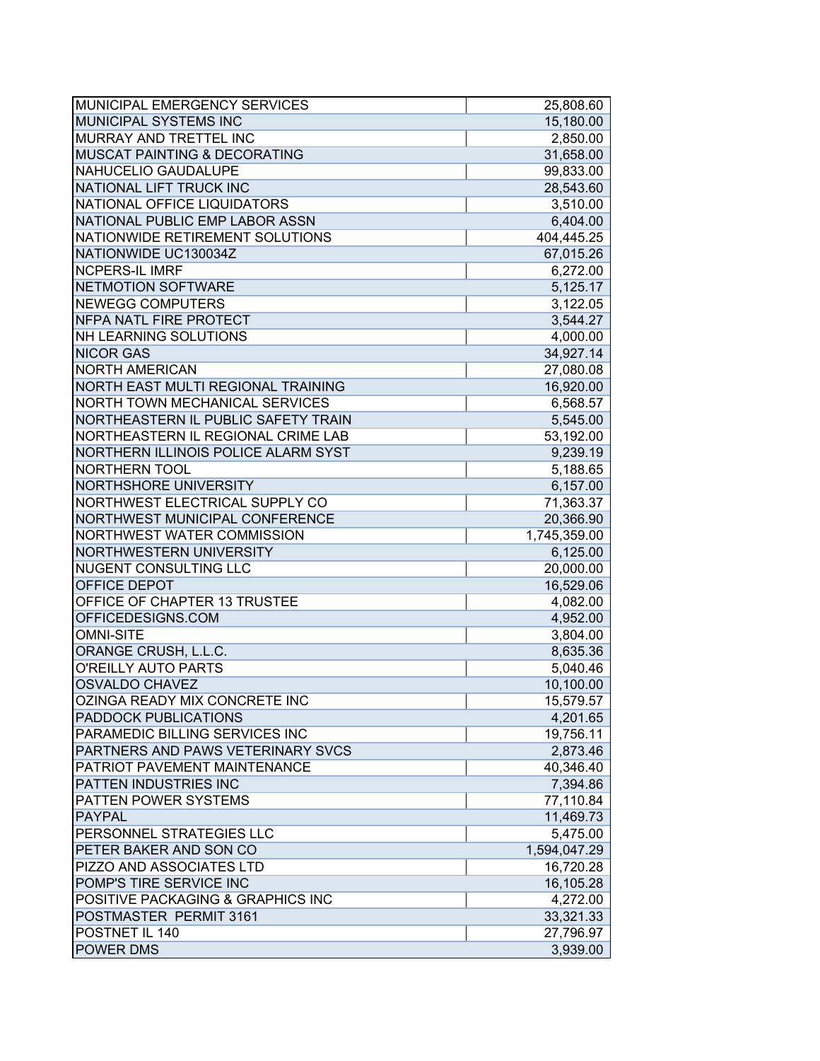| MUNICIPAL EMERGENCY SERVICES            | 25,808.60    |
|-----------------------------------------|--------------|
| MUNICIPAL SYSTEMS INC                   | 15,180.00    |
| MURRAY AND TRETTEL INC                  | 2,850.00     |
| <b>MUSCAT PAINTING &amp; DECORATING</b> | 31,658.00    |
| NAHUCELIO GAUDALUPE                     | 99,833.00    |
| NATIONAL LIFT TRUCK INC                 | 28,543.60    |
| NATIONAL OFFICE LIQUIDATORS             | 3,510.00     |
| NATIONAL PUBLIC EMP LABOR ASSN          | 6,404.00     |
| NATIONWIDE RETIREMENT SOLUTIONS         | 404,445.25   |
| NATIONWIDE UC130034Z                    | 67,015.26    |
| <b>NCPERS-IL IMRF</b>                   | 6,272.00     |
| NETMOTION SOFTWARE                      | 5,125.17     |
| <b>NEWEGG COMPUTERS</b>                 | 3,122.05     |
| <b>NFPA NATL FIRE PROTECT</b>           | 3,544.27     |
| <b>NH LEARNING SOLUTIONS</b>            | 4,000.00     |
| <b>NICOR GAS</b>                        | 34,927.14    |
| <b>NORTH AMERICAN</b>                   | 27,080.08    |
| NORTH EAST MULTI REGIONAL TRAINING      | 16,920.00    |
| <b>NORTH TOWN MECHANICAL SERVICES</b>   | 6,568.57     |
| NORTHEASTERN IL PUBLIC SAFETY TRAIN     | 5,545.00     |
| NORTHEASTERN IL REGIONAL CRIME LAB      | 53,192.00    |
| NORTHERN ILLINOIS POLICE ALARM SYST     | 9,239.19     |
| <b>NORTHERN TOOL</b>                    | 5,188.65     |
| NORTHSHORE UNIVERSITY                   | 6,157.00     |
| NORTHWEST ELECTRICAL SUPPLY CO          | 71,363.37    |
| NORTHWEST MUNICIPAL CONFERENCE          | 20,366.90    |
| NORTHWEST WATER COMMISSION              | 1,745,359.00 |
| <b>NORTHWESTERN UNIVERSITY</b>          | 6,125.00     |
| <b>NUGENT CONSULTING LLC</b>            | 20,000.00    |
| <b>OFFICE DEPOT</b>                     | 16,529.06    |
| OFFICE OF CHAPTER 13 TRUSTEE            | 4,082.00     |
| OFFICEDESIGNS.COM                       | 4,952.00     |
| <b>OMNI-SITE</b>                        | 3,804.00     |
| ORANGE CRUSH, L.L.C.                    | 8,635.36     |
| O'REILLY AUTO PARTS                     | 5,040.46     |
| <b>OSVALDO CHAVEZ</b>                   | 10,100.00    |
| IOZINGA READY MIX CONCRETE INC          | 15,579.57    |
| <b>PADDOCK PUBLICATIONS</b>             | 4,201.65     |
| PARAMEDIC BILLING SERVICES INC          | 19,756.11    |
| PARTNERS AND PAWS VETERINARY SVCS       | 2,873.46     |
| PATRIOT PAVEMENT MAINTENANCE            | 40,346.40    |
| <b>PATTEN INDUSTRIES INC</b>            | 7,394.86     |
| <b>PATTEN POWER SYSTEMS</b>             | 77,110.84    |
| PAYPAL                                  | 11,469.73    |
| PERSONNEL STRATEGIES LLC                | 5,475.00     |
| PETER BAKER AND SON CO                  | 1,594,047.29 |
| PIZZO AND ASSOCIATES LTD                | 16,720.28    |
| POMP'S TIRE SERVICE INC                 | 16,105.28    |
| POSITIVE PACKAGING & GRAPHICS INC       | 4,272.00     |
| POSTMASTER PERMIT 3161                  | 33,321.33    |
| POSTNET IL 140                          | 27,796.97    |
| <b>POWER DMS</b>                        | 3,939.00     |
|                                         |              |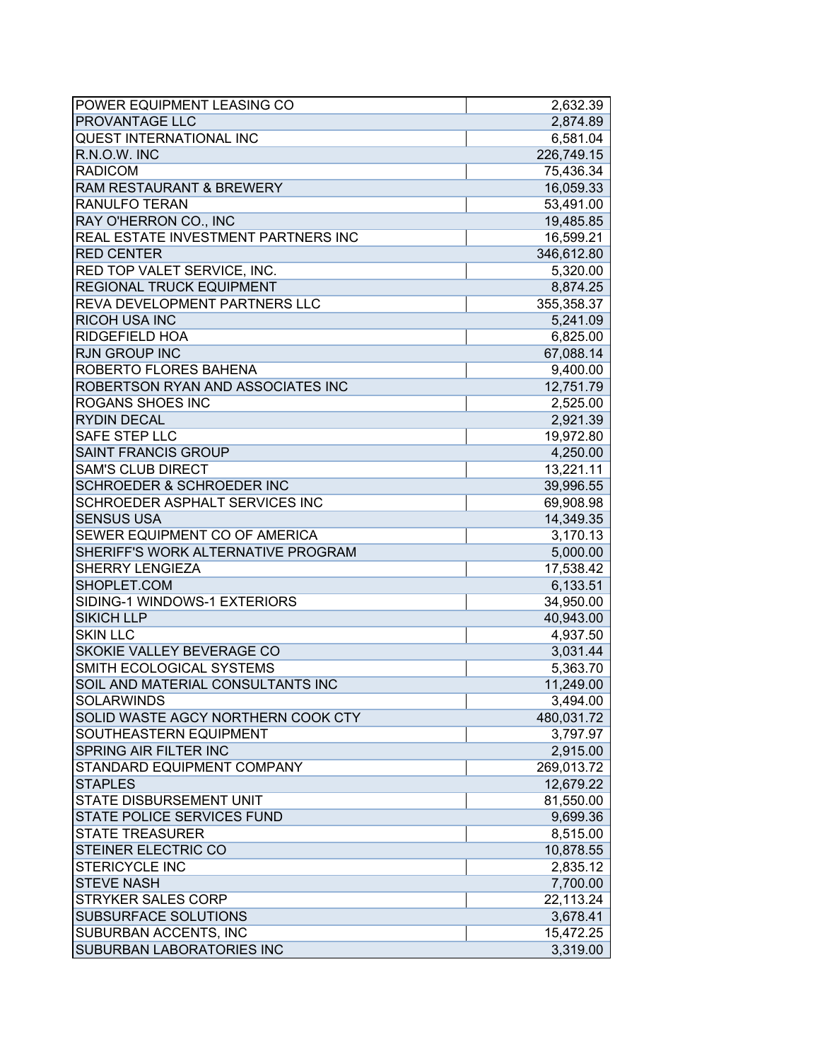| POWER EQUIPMENT LEASING CO            | 2,632.39   |
|---------------------------------------|------------|
| <b>PROVANTAGE LLC</b>                 | 2,874.89   |
| <b>QUEST INTERNATIONAL INC</b>        | 6,581.04   |
| R.N.O.W. INC                          | 226,749.15 |
| <b>RADICOM</b>                        | 75,436.34  |
| <b>RAM RESTAURANT &amp; BREWERY</b>   | 16,059.33  |
| <b>RANULFO TERAN</b>                  | 53,491.00  |
| RAY O'HERRON CO., INC                 | 19,485.85  |
| REAL ESTATE INVESTMENT PARTNERS INC   | 16,599.21  |
| <b>RED CENTER</b>                     | 346,612.80 |
| RED TOP VALET SERVICE, INC.           | 5,320.00   |
| <b>REGIONAL TRUCK EQUIPMENT</b>       | 8,874.25   |
| REVA DEVELOPMENT PARTNERS LLC         | 355,358.37 |
| <b>RICOH USA INC</b>                  | 5,241.09   |
| <b>RIDGEFIELD HOA</b>                 | 6,825.00   |
| <b>RJN GROUP INC</b>                  | 67,088.14  |
| ROBERTO FLORES BAHENA                 | 9,400.00   |
| ROBERTSON RYAN AND ASSOCIATES INC     | 12,751.79  |
| <b>ROGANS SHOES INC</b>               | 2,525.00   |
| <b>RYDIN DECAL</b>                    | 2,921.39   |
| SAFE STEP LLC                         | 19,972.80  |
| <b>SAINT FRANCIS GROUP</b>            | 4,250.00   |
| <b>SAM'S CLUB DIRECT</b>              | 13,221.11  |
| <b>SCHROEDER &amp; SCHROEDER INC</b>  | 39,996.55  |
| <b>SCHROEDER ASPHALT SERVICES INC</b> | 69,908.98  |
| <b>SENSUS USA</b>                     | 14,349.35  |
| SEWER EQUIPMENT CO OF AMERICA         | 3,170.13   |
| SHERIFF'S WORK ALTERNATIVE PROGRAM    | 5,000.00   |
| <b>SHERRY LENGIEZA</b>                | 17,538.42  |
| SHOPLET.COM                           | 6,133.51   |
| SIDING-1 WINDOWS-1 EXTERIORS          | 34,950.00  |
| <b>SIKICH LLP</b>                     | 40,943.00  |
| <b>SKIN LLC</b>                       | 4,937.50   |
| SKOKIE VALLEY BEVERAGE CO             | 3,031.44   |
| SMITH ECOLOGICAL SYSTEMS              | 5,363.70   |
| SOIL AND MATERIAL CONSULTANTS INC     | 11,249.00  |
| <b>SOLARWINDS</b>                     | 3,494.00   |
| SOLID WASTE AGCY NORTHERN COOK CTY    | 480,031.72 |
| SOUTHEASTERN EQUIPMENT                | 3,797.97   |
| <b>SPRING AIR FILTER INC</b>          | 2,915.00   |
| <b>STANDARD EQUIPMENT COMPANY</b>     | 269,013.72 |
| <b>STAPLES</b>                        | 12,679.22  |
| <b>STATE DISBURSEMENT UNIT</b>        | 81,550.00  |
| <b>STATE POLICE SERVICES FUND</b>     | 9,699.36   |
| <b>STATE TREASURER</b>                | 8,515.00   |
| <b>STEINER ELECTRIC CO</b>            | 10,878.55  |
| <b>STERICYCLE INC</b>                 | 2,835.12   |
| <b>STEVE NASH</b>                     | 7,700.00   |
| <b>STRYKER SALES CORP</b>             | 22,113.24  |
| <b>SUBSURFACE SOLUTIONS</b>           | 3,678.41   |
| <b>SUBURBAN ACCENTS, INC</b>          | 15,472.25  |
| <b>SUBURBAN LABORATORIES INC</b>      | 3,319.00   |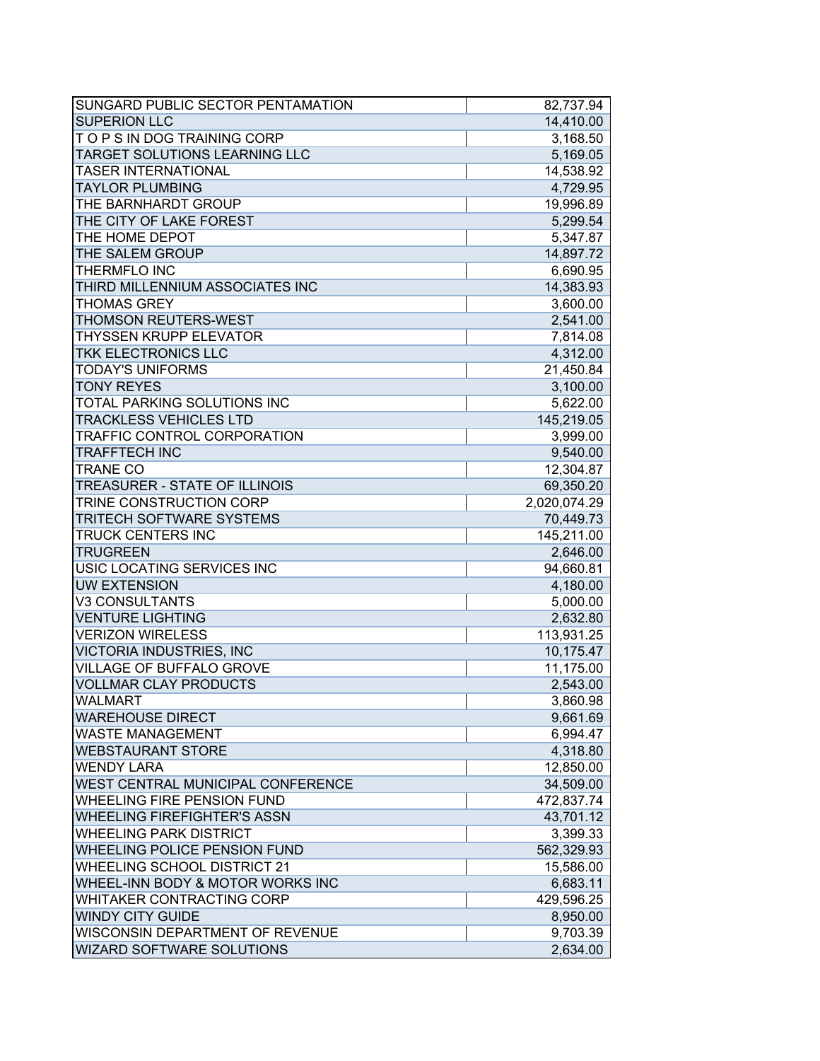| SUNGARD PUBLIC SECTOR PENTAMATION           | 82,737.94    |
|---------------------------------------------|--------------|
| <b>SUPERION LLC</b>                         | 14,410.00    |
| TOPS IN DOG TRAINING CORP                   | 3,168.50     |
| TARGET SOLUTIONS LEARNING LLC               | 5,169.05     |
| <b>TASER INTERNATIONAL</b>                  | 14,538.92    |
| <b>TAYLOR PLUMBING</b>                      | 4,729.95     |
| THE BARNHARDT GROUP                         | 19,996.89    |
| THE CITY OF LAKE FOREST                     | 5,299.54     |
| THE HOME DEPOT                              | 5,347.87     |
| THE SALEM GROUP                             | 14,897.72    |
| <b>THERMFLO INC</b>                         | 6,690.95     |
| THIRD MILLENNIUM ASSOCIATES INC             | 14,383.93    |
| <b>THOMAS GREY</b>                          | 3,600.00     |
| <b>THOMSON REUTERS-WEST</b>                 | 2,541.00     |
| <b>THYSSEN KRUPP ELEVATOR</b>               | 7,814.08     |
| TKK ELECTRONICS LLC                         | 4,312.00     |
| <b>TODAY'S UNIFORMS</b>                     | 21,450.84    |
| <b>TONY REYES</b>                           | 3,100.00     |
| TOTAL PARKING SOLUTIONS INC                 | 5,622.00     |
| <b>TRACKLESS VEHICLES LTD</b>               | 145,219.05   |
| <b>TRAFFIC CONTROL CORPORATION</b>          | 3,999.00     |
| <b>TRAFFTECH INC</b>                        | 9,540.00     |
| <b>TRANE CO</b>                             | 12,304.87    |
| <b>TREASURER - STATE OF ILLINOIS</b>        | 69,350.20    |
| TRINE CONSTRUCTION CORP                     | 2,020,074.29 |
| <b>TRITECH SOFTWARE SYSTEMS</b>             | 70,449.73    |
| <b>TRUCK CENTERS INC</b>                    | 145,211.00   |
| <b>TRUGREEN</b>                             | 2,646.00     |
| USIC LOCATING SERVICES INC                  | 94,660.81    |
| <b>UW EXTENSION</b>                         | 4,180.00     |
| <b>V3 CONSULTANTS</b>                       | 5,000.00     |
| <b>VENTURE LIGHTING</b>                     | 2,632.80     |
| <b>VERIZON WIRELESS</b>                     | 113,931.25   |
| <b>VICTORIA INDUSTRIES, INC</b>             | 10,175.47    |
| <b>VILLAGE OF BUFFALO GROVE</b>             | 11,175.00    |
| <b>VOLLMAR CLAY PRODUCTS</b>                | 2,543.00     |
| <b>WALMART</b>                              | 3,860.98     |
| <b>WAREHOUSE DIRECT</b>                     | 9,661.69     |
| <b>WASTE MANAGEMENT</b>                     | 6,994.47     |
| <b>WEBSTAURANT STORE</b>                    | 4,318.80     |
| <b>WENDY LARA</b>                           | 12,850.00    |
| WEST CENTRAL MUNICIPAL CONFERENCE           | 34,509.00    |
| <b>WHEELING FIRE PENSION FUND</b>           | 472,837.74   |
| <b>WHEELING FIREFIGHTER'S ASSN</b>          | 43,701.12    |
| <b>WHEELING PARK DISTRICT</b>               | 3,399.33     |
| <b>WHEELING POLICE PENSION FUND</b>         | 562,329.93   |
| <b>WHEELING SCHOOL DISTRICT 21</b>          | 15,586.00    |
| <b>WHEEL-INN BODY &amp; MOTOR WORKS INC</b> | 6,683.11     |
| WHITAKER CONTRACTING CORP                   | 429,596.25   |
| <b>WINDY CITY GUIDE</b>                     | 8,950.00     |
| WISCONSIN DEPARTMENT OF REVENUE             | 9,703.39     |
| <b>WIZARD SOFTWARE SOLUTIONS</b>            | 2,634.00     |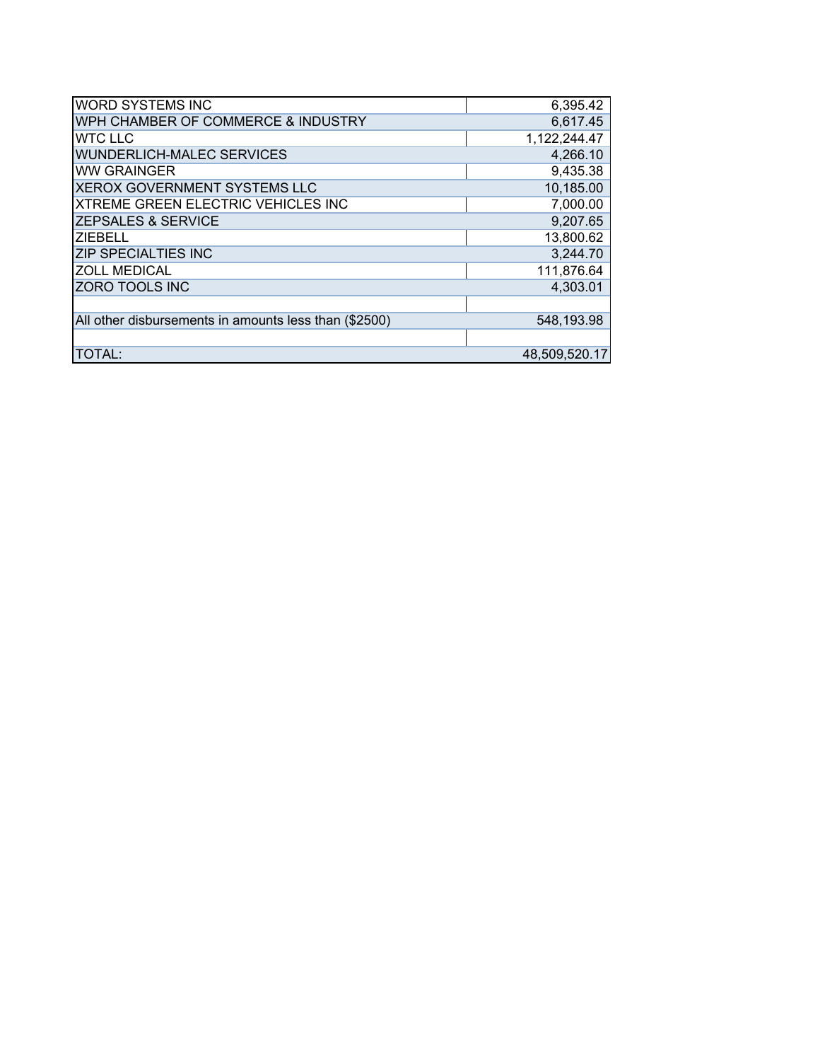| <b>WORD SYSTEMS INC</b>                               | 6,395.42      |
|-------------------------------------------------------|---------------|
| WPH CHAMBER OF COMMERCE & INDUSTRY                    | 6,617.45      |
| <b>WTC LLC</b>                                        | 1,122,244.47  |
| <b>WUNDERLICH-MALEC SERVICES</b>                      | 4,266.10      |
| <b>WW GRAINGER</b>                                    | 9,435.38      |
| <b>XEROX GOVERNMENT SYSTEMS LLC</b>                   | 10,185.00     |
| XTREME GREEN ELECTRIC VEHICLES INC                    | 7,000.00      |
| <b>ZEPSALES &amp; SERVICE</b>                         | 9,207.65      |
| <b>ZIEBELL</b>                                        | 13,800.62     |
| <b>ZIP SPECIALTIES INC</b>                            | 3,244.70      |
| <b>ZOLL MEDICAL</b>                                   | 111,876.64    |
| <b>ZORO TOOLS INC</b>                                 | 4,303.01      |
|                                                       |               |
| All other disbursements in amounts less than (\$2500) | 548,193.98    |
|                                                       |               |
| <b>TOTAL:</b>                                         | 48,509,520.17 |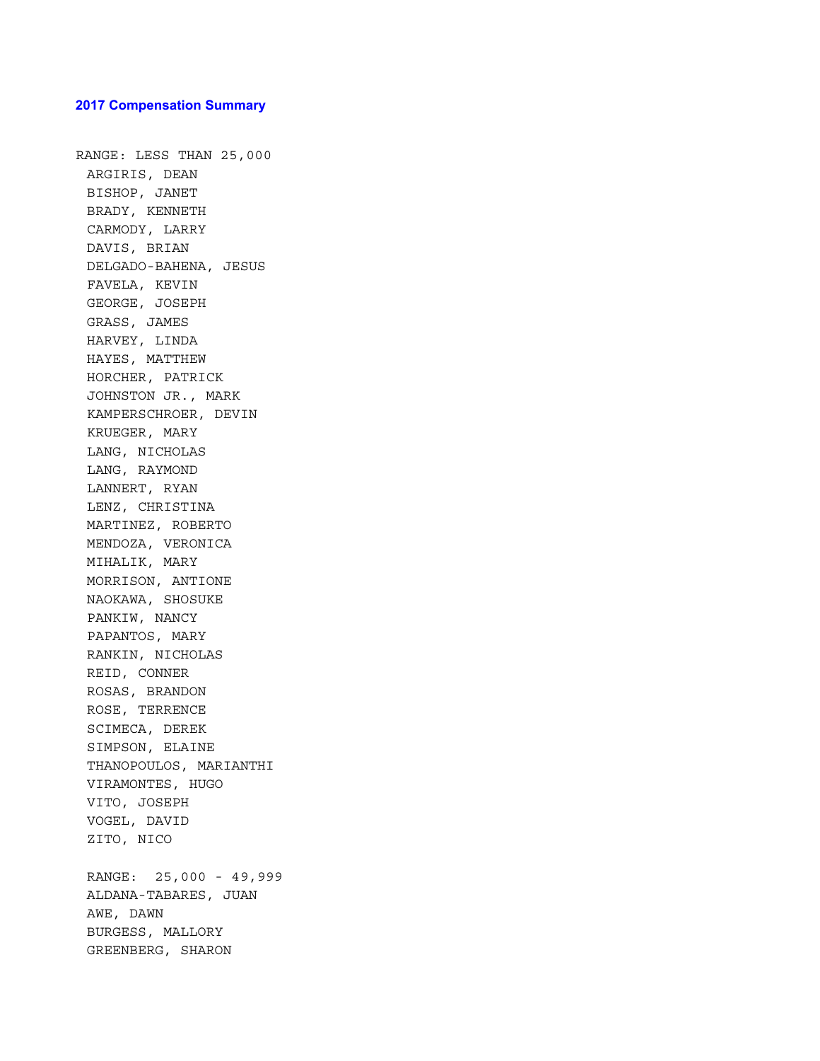#### **2017 Compensation Summary**

RANGE: LESS THAN 25,000 ARGIRIS, DEAN BISHOP, JANET BRADY, KENNETH CARMODY, LARRY DAVIS, BRIAN DELGADO-BAHENA, JESUS FAVELA, KEVIN GEORGE, JOSEPH GRASS, JAMES HARVEY, LINDA HAYES, MATTHEW HORCHER, PATRICK JOHNSTON JR., MARK KAMPERSCHROER, DEVIN KRUEGER, MARY LANG, NICHOLAS LANG, RAYMOND LANNERT, RYAN LENZ, CHRISTINA MARTINEZ, ROBERTO MENDOZA, VERONICA MIHALIK, MARY MORRISON, ANTIONE NAOKAWA, SHOSUKE PANKIW, NANCY PAPANTOS, MARY RANKIN, NICHOLAS REID, CONNER ROSAS, BRANDON ROSE, TERRENCE SCIMECA, DEREK SIMPSON, ELAINE THANOPOULOS, MARIANTHI VIRAMONTES, HUGO VITO, JOSEPH VOGEL, DAVID ZITO, NICO RANGE: 25,000 - 49,999 ALDANA-TABARES, JUAN AWE, DAWN BURGESS, MALLORY GREENBERG, SHARON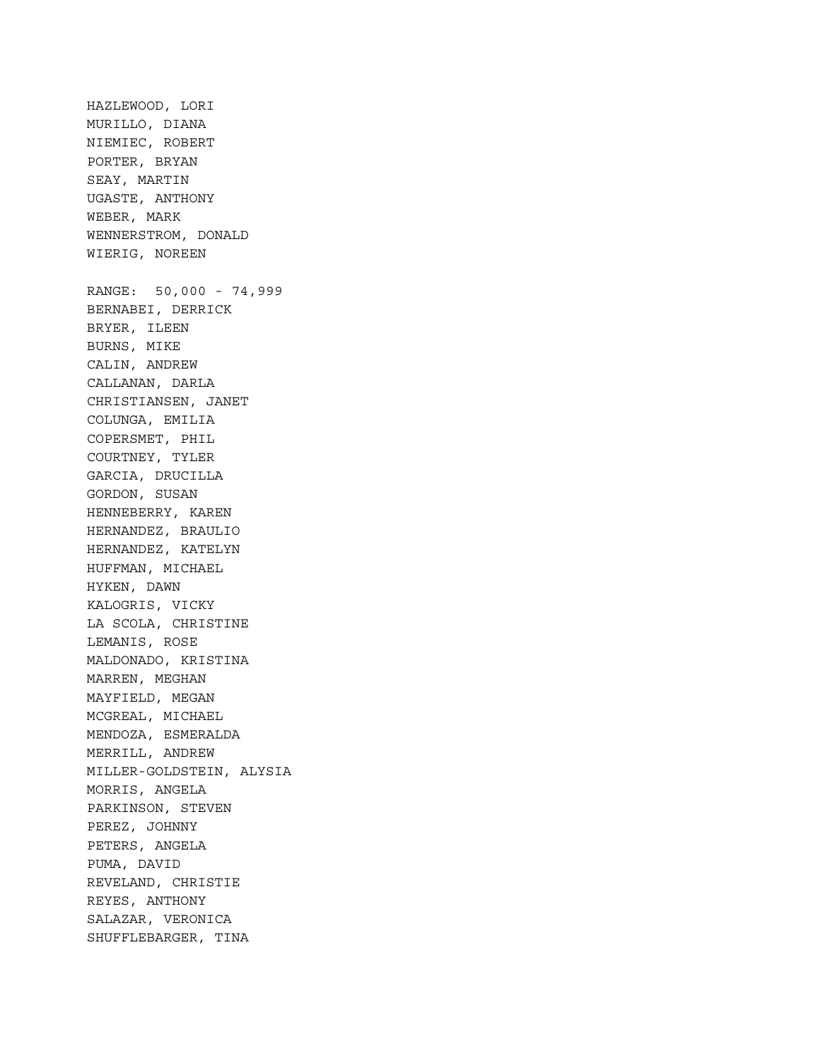HAZLEWOOD, LORI MURILLO, DIANA NIEMIEC, ROBERT PORTER, BRYAN SEAY, MARTIN UGASTE, ANTHONY WEBER, MARK WENNERSTROM, DONALD WIERIG, NOREEN RANGE: 50,000 - 74,999 BERNABEI, DERRICK BRYER, ILEEN BURNS, MIKE CALIN, ANDREW CALLANAN, DARLA CHRISTIANSEN, JANET COLUNGA, EMILIA COPERSMET, PHIL COURTNEY, TYLER GARCIA, DRUCILLA GORDON, SUSAN HENNEBERRY, KAREN HERNANDEZ, BRAULIO HERNANDEZ, KATELYN HUFFMAN, MICHAEL HYKEN, DAWN KALOGRIS, VICKY LA SCOLA, CHRISTINE LEMANIS, ROSE MALDONADO, KRISTINA MARREN, MEGHAN MAYFIELD, MEGAN MCGREAL, MICHAEL MENDOZA, ESMERALDA MERRILL, ANDREW MILLER-GOLDSTEIN, ALYSIA MORRIS, ANGELA PARKINSON, STEVEN PEREZ, JOHNNY PETERS, ANGELA PUMA, DAVID REVELAND, CHRISTIE REYES, ANTHONY SALAZAR, VERONICA SHUFFLEBARGER, TINA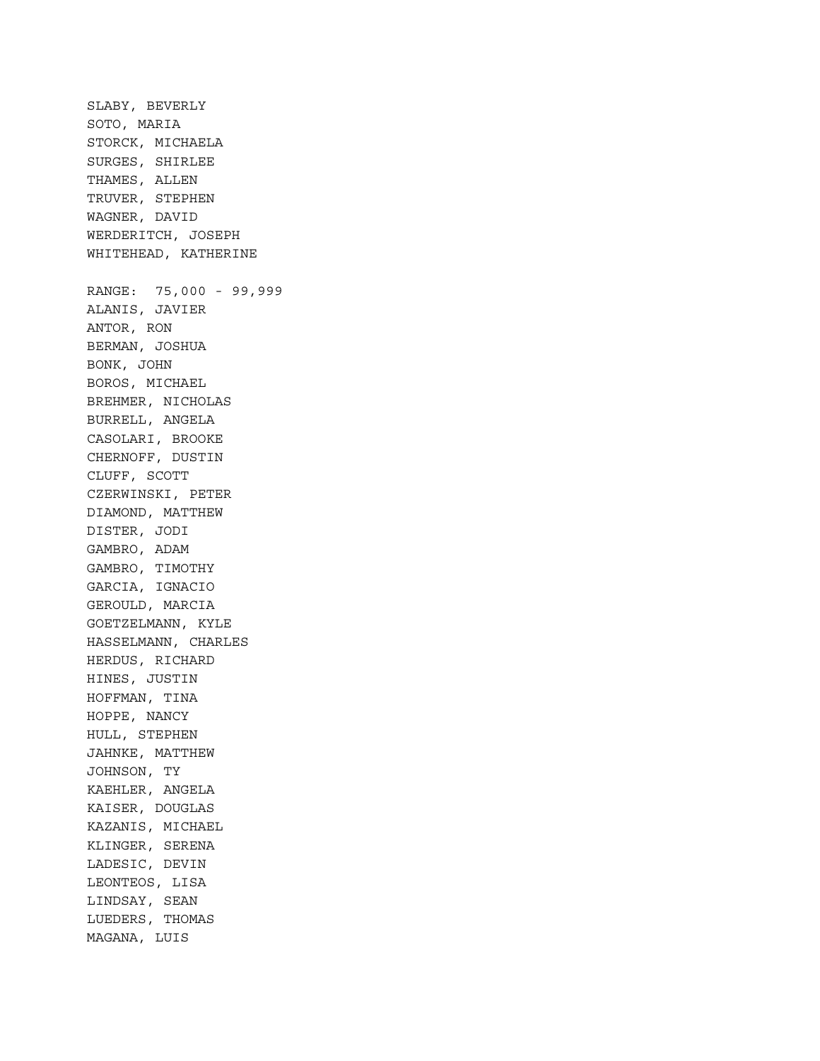SLABY, BEVERLY SOTO, MARIA STORCK, MICHAELA SURGES, SHIRLEE THAMES, ALLEN TRUVER, STEPHEN WAGNER, DAVID WERDERITCH, JOSEPH WHITEHEAD, KATHERINE RANGE: 75,000 - 99,999 ALANIS, JAVIER ANTOR, RON BERMAN, JOSHUA BONK, JOHN BOROS, MICHAEL BREHMER, NICHOLAS BURRELL, ANGELA CASOLARI, BROOKE CHERNOFF, DUSTIN CLUFF, SCOTT CZERWINSKI, PETER DIAMOND, MATTHEW DISTER, JODI GAMBRO, ADAM GAMBRO, TIMOTHY GARCIA, IGNACIO GEROULD, MARCIA GOETZELMANN, KYLE HASSELMANN, CHARLES HERDUS, RICHARD HINES, JUSTIN HOFFMAN, TINA HOPPE, NANCY HULL, STEPHEN JAHNKE, MATTHEW JOHNSON, TY KAEHLER, ANGELA KAISER, DOUGLAS KAZANIS, MICHAEL KLINGER, SERENA LADESIC, DEVIN LEONTEOS, LISA LINDSAY, SEAN LUEDERS, THOMAS MAGANA, LUIS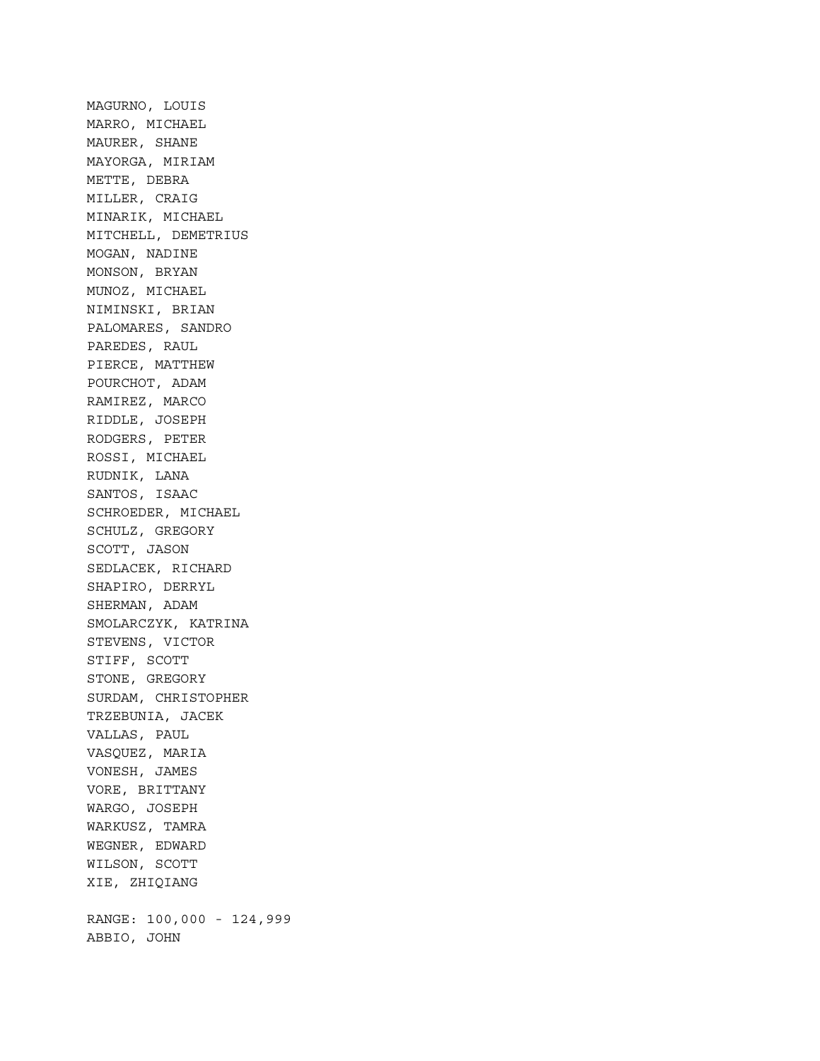MAGURNO, LOUIS MARRO, MICHAEL MAURER, SHANE MAYORGA, MIRIAM METTE, DEBRA MILLER, CRAIG MINARIK, MICHAEL MITCHELL, DEMETRIUS MOGAN, NADINE MONSON, BRYAN MUNOZ, MICHAEL NIMINSKI, BRIAN PALOMARES, SANDRO PAREDES, RAUL PIERCE, MATTHEW POURCHOT, ADAM RAMIREZ, MARCO RIDDLE, JOSEPH RODGERS, PETER ROSSI, MICHAEL RUDNIK, LANA SANTOS, ISAAC SCHROEDER, MICHAEL SCHULZ, GREGORY SCOTT, JASON SEDLACEK, RICHARD SHAPIRO, DERRYL SHERMAN, ADAM SMOLARCZYK, KATRINA STEVENS, VICTOR STIFF, SCOTT STONE, GREGORY SURDAM, CHRISTOPHER TRZEBUNIA, JACEK VALLAS, PAUL VASQUEZ, MARIA VONESH, JAMES VORE, BRITTANY WARGO, JOSEPH WARKUSZ, TAMRA WEGNER, EDWARD WILSON, SCOTT XIE, ZHIQIANG RANGE: 100,000 - 124,999 ABBIO, JOHN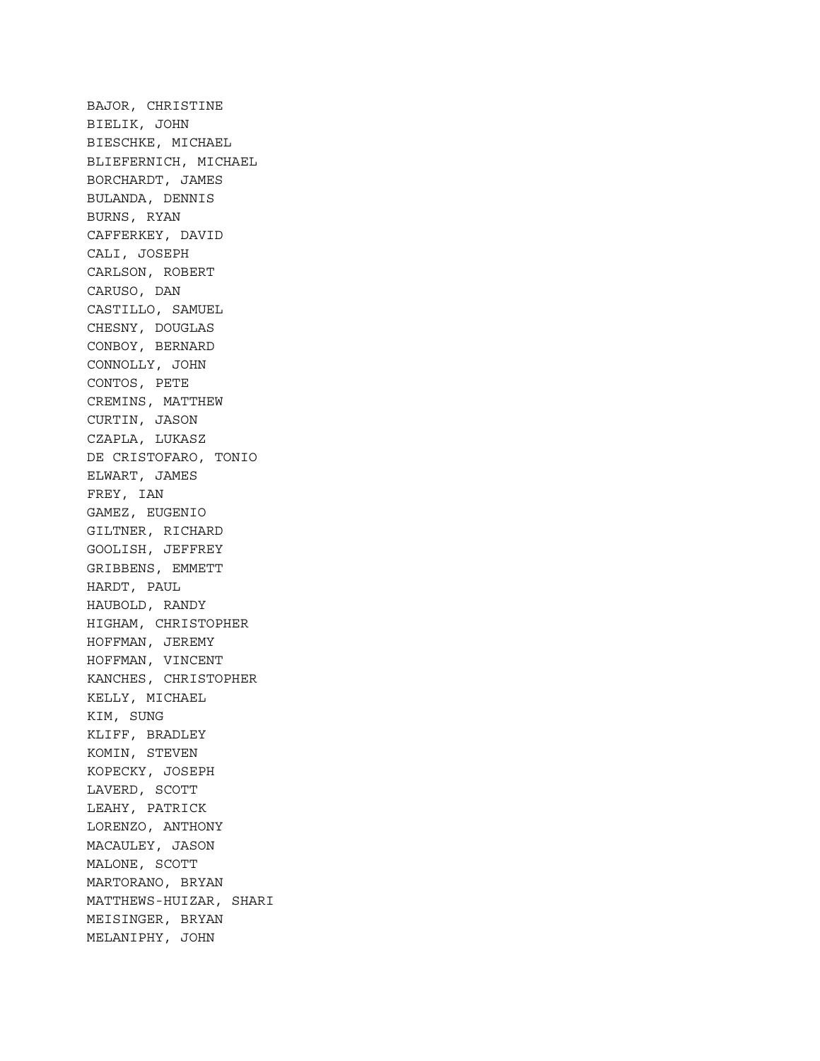BAJOR, CHRISTINE BIELIK, JOHN BIESCHKE, MICHAEL BLIEFERNICH, MICHAEL BORCHARDT, JAMES BULANDA, DENNIS BURNS, RYAN CAFFERKEY, DAVID CALI, JOSEPH CARLSON, ROBERT CARUSO, DAN CASTILLO, SAMUEL CHESNY, DOUGLAS CONBOY, BERNARD CONNOLLY, JOHN CONTOS, PETE CREMINS, MATTHEW CURTIN, JASON CZAPLA, LUKASZ DE CRISTOFARO, TONIO ELWART, JAMES FREY, IAN GAMEZ, EUGENIO GILTNER, RICHARD GOOLISH, JEFFREY GRIBBENS, EMMETT HARDT, PAUL HAUBOLD, RANDY HIGHAM, CHRISTOPHER HOFFMAN, JEREMY HOFFMAN, VINCENT KANCHES, CHRISTOPHER KELLY, MICHAEL KIM, SUNG KLIFF, BRADLEY KOMIN, STEVEN KOPECKY, JOSEPH LAVERD, SCOTT LEAHY, PATRICK LORENZO, ANTHONY MACAULEY, JASON MALONE, SCOTT MARTORANO, BRYAN MATTHEWS-HUIZAR, SHARI MEISINGER, BRYAN MELANIPHY, JOHN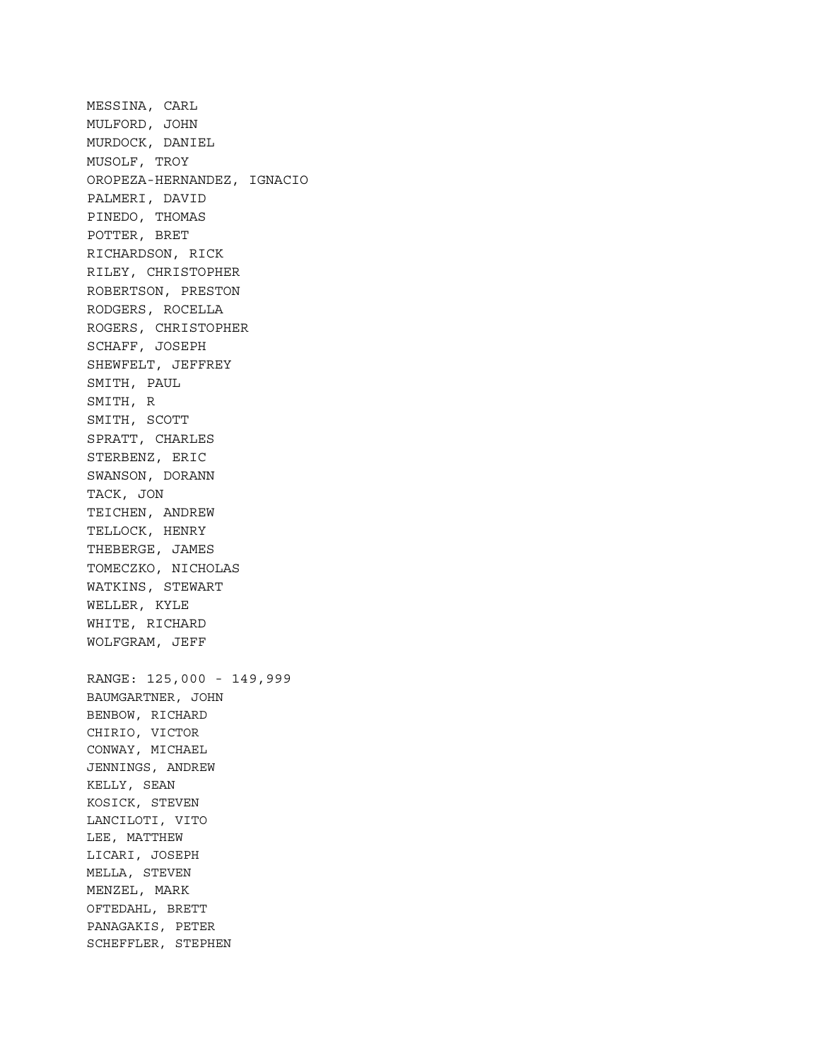MESSINA, CARL MULFORD, JOHN MURDOCK, DANIEL MUSOLF, TROY OROPEZA-HERNANDEZ, IGNACIO PALMERI, DAVID PINEDO, THOMAS POTTER, BRET RICHARDSON, RICK RILEY, CHRISTOPHER ROBERTSON, PRESTON RODGERS, ROCELLA ROGERS, CHRISTOPHER SCHAFF, JOSEPH SHEWFELT, JEFFREY SMITH, PAUL SMITH, R SMITH, SCOTT SPRATT, CHARLES STERBENZ, ERIC SWANSON, DORANN TACK, JON TEICHEN, ANDREW TELLOCK, HENRY THEBERGE, JAMES TOMECZKO, NICHOLAS WATKINS, STEWART WELLER, KYLE WHITE, RICHARD WOLFGRAM, JEFF RANGE: 125,000 - 149,999 BAUMGARTNER, JOHN BENBOW, RICHARD CHIRIO, VICTOR CONWAY, MICHAEL JENNINGS, ANDREW KELLY, SEAN KOSICK, STEVEN LANCILOTI, VITO LEE, MATTHEW LICARI, JOSEPH MELLA, STEVEN MENZEL, MARK OFTEDAHL, BRETT PANAGAKIS, PETER SCHEFFLER, STEPHEN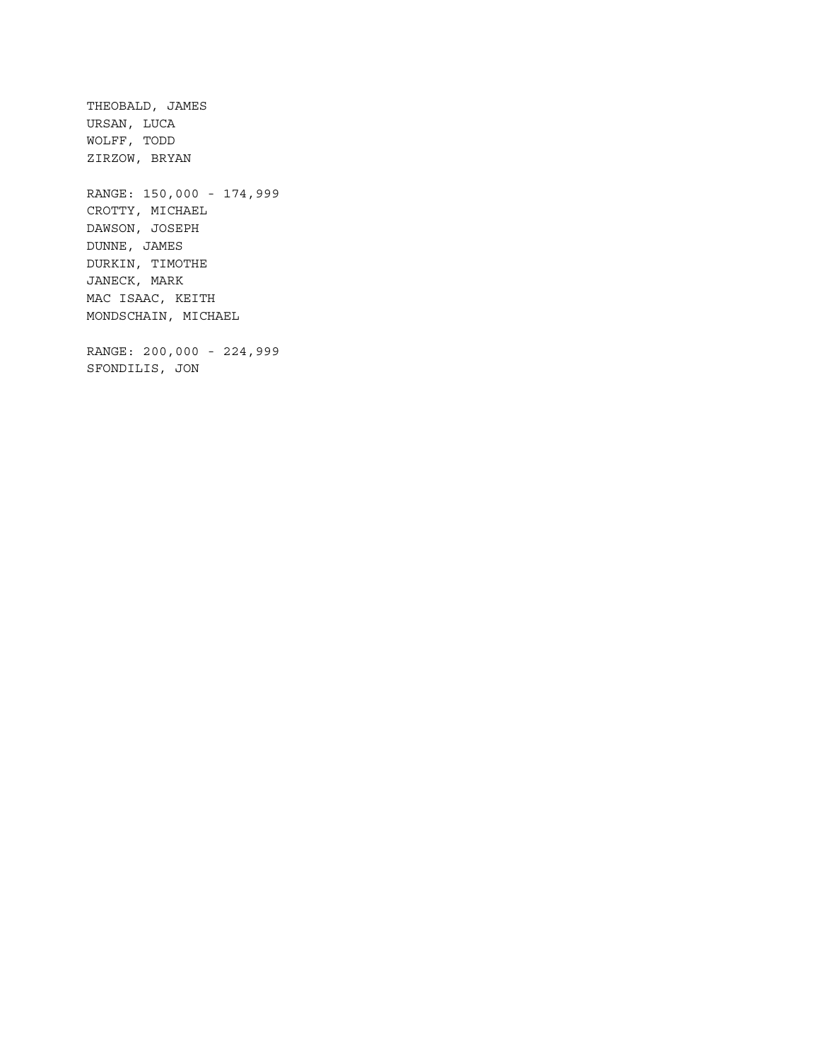THEOBALD, JAMES URSAN, LUCA WOLFF, TODD ZIRZOW, BRYAN RANGE: 150,000 - 174,999 CROTTY, MICHAEL DAWSON, JOSEPH DUNNE, JAMES DURKIN, TIMOTHE JANECK, MARK MAC ISAAC, KEITH MONDSCHAIN, MICHAEL RANGE: 200,000 - 224,999 SFONDILIS, JON